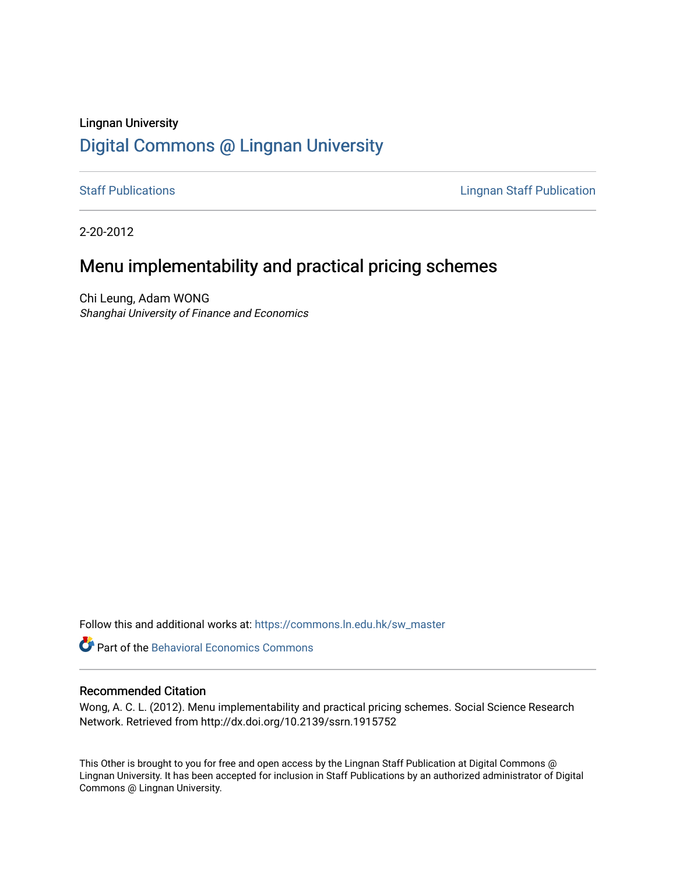## Lingnan University [Digital Commons @ Lingnan University](https://commons.ln.edu.hk/)

[Staff Publications](https://commons.ln.edu.hk/sw_master) **Staff Publications Lingnan Staff Publication** 

2-20-2012

# Menu implementability and practical pricing schemes

Chi Leung, Adam WONG Shanghai University of Finance and Economics

Follow this and additional works at: [https://commons.ln.edu.hk/sw\\_master](https://commons.ln.edu.hk/sw_master?utm_source=commons.ln.edu.hk%2Fsw_master%2F4496&utm_medium=PDF&utm_campaign=PDFCoverPages) 

Part of the [Behavioral Economics Commons](http://network.bepress.com/hgg/discipline/341?utm_source=commons.ln.edu.hk%2Fsw_master%2F4496&utm_medium=PDF&utm_campaign=PDFCoverPages) 

#### Recommended Citation

Wong, A. C. L. (2012). Menu implementability and practical pricing schemes. Social Science Research Network. Retrieved from http://dx.doi.org/10.2139/ssrn.1915752

This Other is brought to you for free and open access by the Lingnan Staff Publication at Digital Commons @ Lingnan University. It has been accepted for inclusion in Staff Publications by an authorized administrator of Digital Commons @ Lingnan University.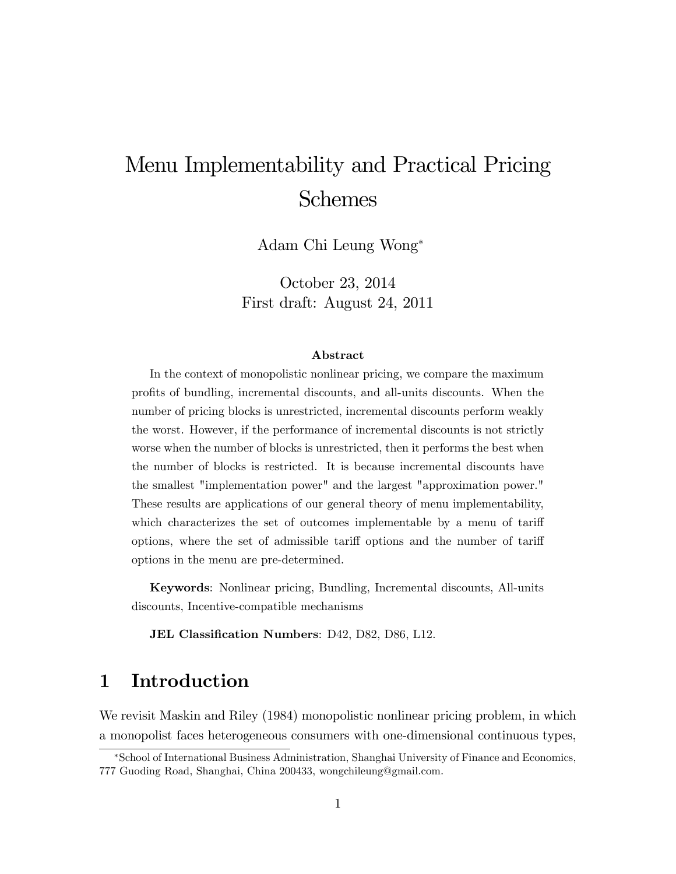# Menu Implementability and Practical Pricing Schemes

Adam Chi Leung Wong

October 23, 2014 First draft: August 24, 2011

#### Abstract

In the context of monopolistic nonlinear pricing, we compare the maximum proÖts of bundling, incremental discounts, and all-units discounts. When the number of pricing blocks is unrestricted, incremental discounts perform weakly the worst. However, if the performance of incremental discounts is not strictly worse when the number of blocks is unrestricted, then it performs the best when the number of blocks is restricted. It is because incremental discounts have the smallest "implementation power" and the largest "approximation power." These results are applications of our general theory of menu implementability, which characterizes the set of outcomes implementable by a menu of tariff options, where the set of admissible tariff options and the number of tariff options in the menu are pre-determined.

Keywords: Nonlinear pricing, Bundling, Incremental discounts, All-units discounts, Incentive-compatible mechanisms

JEL Classification Numbers: D42, D82, D86, L12.

### 1 Introduction

We revisit Maskin and Riley (1984) monopolistic nonlinear pricing problem, in which a monopolist faces heterogeneous consumers with one-dimensional continuous types,

School of International Business Administration, Shanghai University of Finance and Economics, 777 Guoding Road, Shanghai, China 200433, wongchileung@gmail.com.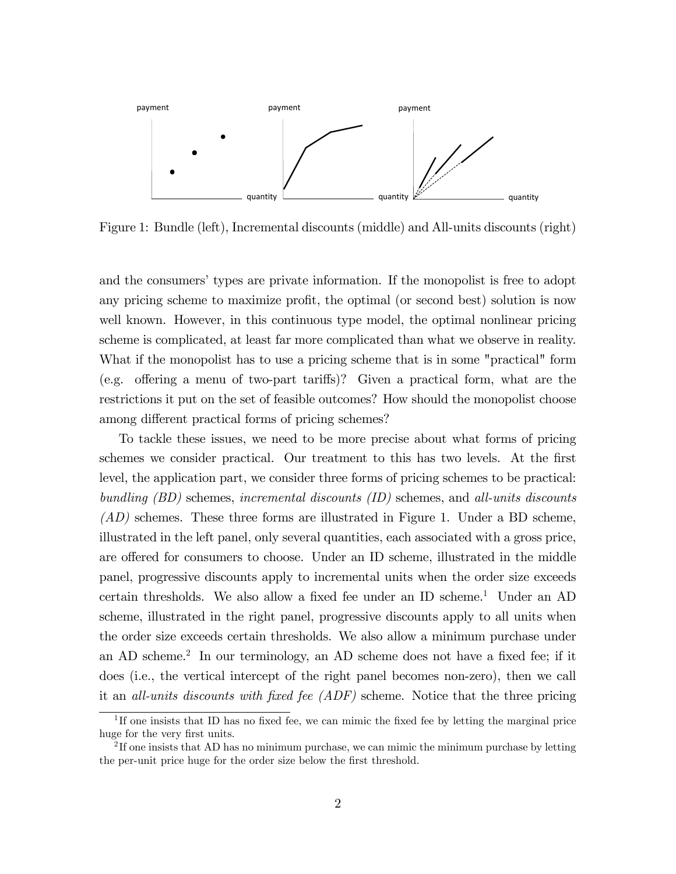

Figure 1: Bundle (left), Incremental discounts (middle) and All-units discounts (right)

and the consumers' types are private information. If the monopolist is free to adopt any pricing scheme to maximize profit, the optimal (or second best) solution is now well known. However, in this continuous type model, the optimal nonlinear pricing scheme is complicated, at least far more complicated than what we observe in reality. What if the monopolist has to use a pricing scheme that is in some "practical" form (e.g. offering a menu of two-part tariffs)? Given a practical form, what are the restrictions it put on the set of feasible outcomes? How should the monopolist choose among different practical forms of pricing schemes?

To tackle these issues, we need to be more precise about what forms of pricing schemes we consider practical. Our treatment to this has two levels. At the first level, the application part, we consider three forms of pricing schemes to be practical: bundling (BD) schemes, incremental discounts (ID) schemes, and all-units discounts  $(AD)$  schemes. These three forms are illustrated in Figure 1. Under a BD scheme, illustrated in the left panel, only several quantities, each associated with a gross price, are offered for consumers to choose. Under an ID scheme, illustrated in the middle panel, progressive discounts apply to incremental units when the order size exceeds certain thresholds. We also allow a fixed fee under an ID scheme.<sup>1</sup> Under an AD scheme, illustrated in the right panel, progressive discounts apply to all units when the order size exceeds certain thresholds. We also allow a minimum purchase under an AD scheme.<sup>2</sup> In our terminology, an AD scheme does not have a fixed fee; if it does (i.e., the vertical intercept of the right panel becomes non-zero), then we call it an all-units discounts with fixed fee (ADF) scheme. Notice that the three pricing

<sup>&</sup>lt;sup>1</sup>If one insists that ID has no fixed fee, we can mimic the fixed fee by letting the marginal price huge for the very first units.

<sup>&</sup>lt;sup>2</sup>If one insists that AD has no minimum purchase, we can mimic the minimum purchase by letting the per-unit price huge for the order size below the first threshold.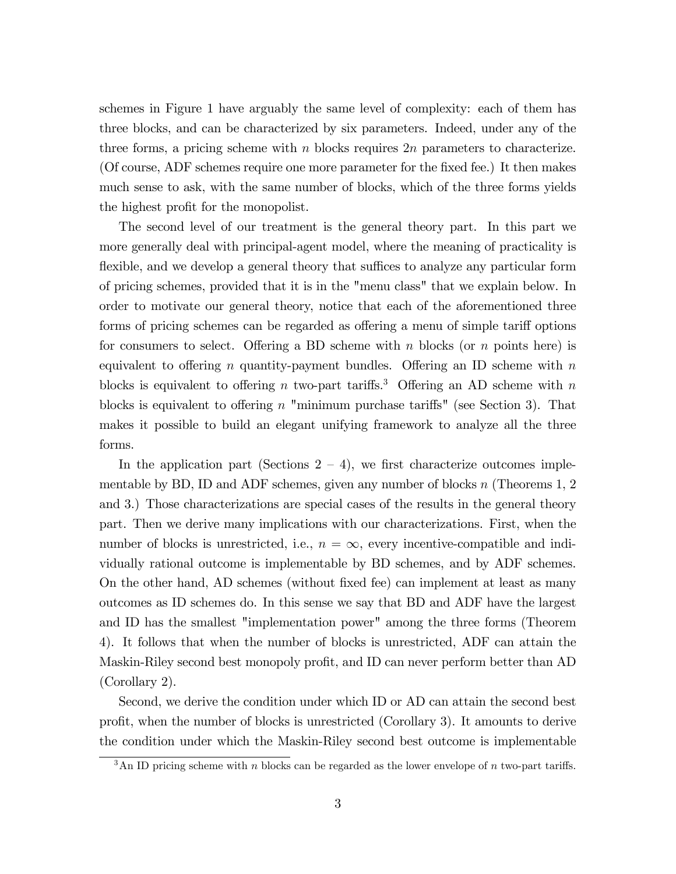schemes in Figure 1 have arguably the same level of complexity: each of them has three blocks, and can be characterized by six parameters. Indeed, under any of the three forms, a pricing scheme with n blocks requires  $2n$  parameters to characterize. (Of course, ADF schemes require one more parameter for the fixed fee.) It then makes much sense to ask, with the same number of blocks, which of the three forms yields the highest profit for the monopolist.

The second level of our treatment is the general theory part. In this part we more generally deal with principal-agent model, where the meaning of practicality is flexible, and we develop a general theory that suffices to analyze any particular form of pricing schemes, provided that it is in the "menu class" that we explain below. In order to motivate our general theory, notice that each of the aforementioned three forms of pricing schemes can be regarded as offering a menu of simple tariff options for consumers to select. Offering a BD scheme with n blocks (or n points here) is equivalent to offering n quantity-payment bundles. Offering an ID scheme with n blocks is equivalent to offering n two-part tariffs.<sup>3</sup> Offering an AD scheme with n blocks is equivalent to offering n "minimum purchase tariffs" (see Section 3). That makes it possible to build an elegant unifying framework to analyze all the three forms.

In the application part (Sections  $2 - 4$ ), we first characterize outcomes implementable by BD, ID and ADF schemes, given any number of blocks  $n$  (Theorems 1, 2) and 3.) Those characterizations are special cases of the results in the general theory part. Then we derive many implications with our characterizations. First, when the number of blocks is unrestricted, i.e.,  $n = \infty$ , every incentive-compatible and individually rational outcome is implementable by BD schemes, and by ADF schemes. On the other hand, AD schemes (without Öxed fee) can implement at least as many outcomes as ID schemes do. In this sense we say that BD and ADF have the largest and ID has the smallest "implementation power" among the three forms (Theorem 4). It follows that when the number of blocks is unrestricted, ADF can attain the Maskin-Riley second best monopoly profit, and ID can never perform better than AD (Corollary 2).

Second, we derive the condition under which ID or AD can attain the second best profit, when the number of blocks is unrestricted (Corollary 3). It amounts to derive the condition under which the Maskin-Riley second best outcome is implementable

 $3\text{An ID pricing scheme with } n \text{ blocks can be regarded as the lower envelope of } n \text{ two-part tariffs.}$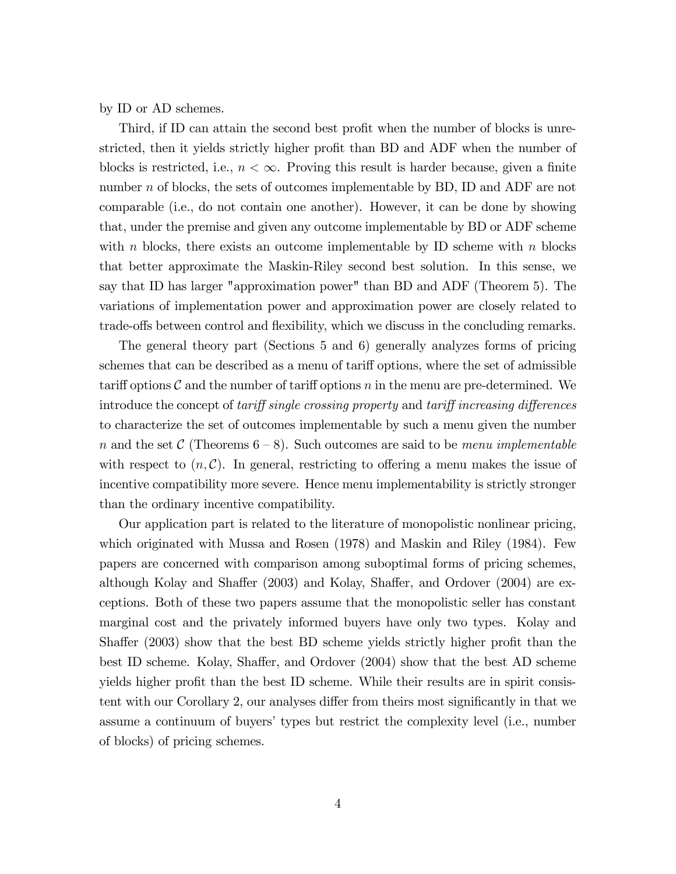by ID or AD schemes.

Third, if ID can attain the second best profit when the number of blocks is unrestricted, then it yields strictly higher profit than BD and ADF when the number of blocks is restricted, i.e.,  $n < \infty$ . Proving this result is harder because, given a finite number n of blocks, the sets of outcomes implementable by BD, ID and ADF are not comparable (i.e., do not contain one another). However, it can be done by showing that, under the premise and given any outcome implementable by BD or ADF scheme with n blocks, there exists an outcome implementable by ID scheme with n blocks that better approximate the Maskin-Riley second best solution. In this sense, we say that ID has larger "approximation power" than BD and ADF (Theorem 5). The variations of implementation power and approximation power are closely related to trade-offs between control and flexibility, which we discuss in the concluding remarks.

The general theory part (Sections 5 and 6) generally analyzes forms of pricing schemes that can be described as a menu of tariff options, where the set of admissible tariff options  $\mathcal C$  and the number of tariff options n in the menu are pre-determined. We introduce the concept of *tariff single crossing property* and *tariff increasing differences* to characterize the set of outcomes implementable by such a menu given the number n and the set C (Theorems  $6-8$ ). Such outcomes are said to be menu implementable with respect to  $(n, \mathcal{C})$ . In general, restricting to offering a menu makes the issue of incentive compatibility more severe. Hence menu implementability is strictly stronger than the ordinary incentive compatibility.

Our application part is related to the literature of monopolistic nonlinear pricing, which originated with Mussa and Rosen (1978) and Maskin and Riley (1984). Few papers are concerned with comparison among suboptimal forms of pricing schemes, although Kolay and Shaffer  $(2003)$  and Kolay, Shaffer, and Ordover  $(2004)$  are exceptions. Both of these two papers assume that the monopolistic seller has constant marginal cost and the privately informed buyers have only two types. Kolay and Shaffer (2003) show that the best BD scheme yields strictly higher profit than the best ID scheme. Kolay, Shaffer, and Ordover (2004) show that the best AD scheme yields higher profit than the best ID scheme. While their results are in spirit consistent with our Corollary 2, our analyses differ from theirs most significantly in that we assume a continuum of buyers' types but restrict the complexity level (i.e., number of blocks) of pricing schemes.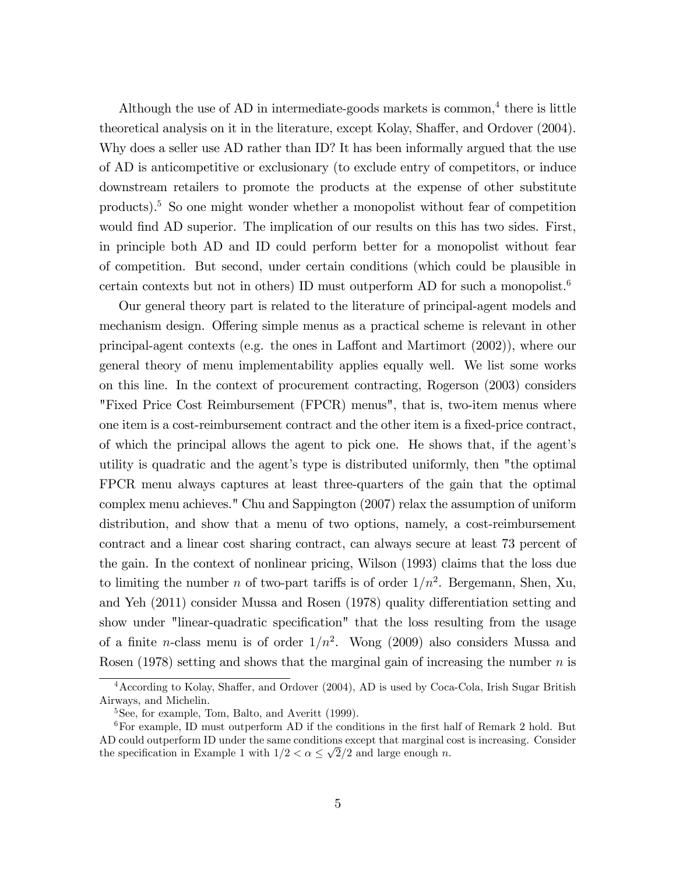Although the use of  $AD$  in intermediate-goods markets is common,<sup>4</sup> there is little theoretical analysis on it in the literature, except Kolay, Shaffer, and Ordover (2004). Why does a seller use AD rather than ID? It has been informally argued that the use of AD is anticompetitive or exclusionary (to exclude entry of competitors, or induce downstream retailers to promote the products at the expense of other substitute products).<sup>5</sup> So one might wonder whether a monopolist without fear of competition would find AD superior. The implication of our results on this has two sides. First, in principle both AD and ID could perform better for a monopolist without fear of competition. But second, under certain conditions (which could be plausible in certain contexts but not in others) ID must outperform AD for such a monopolist.<sup>6</sup>

Our general theory part is related to the literature of principal-agent models and mechanism design. Offering simple menus as a practical scheme is relevant in other principal-agent contexts (e.g. the ones in Laffont and Martimort  $(2002)$ ), where our general theory of menu implementability applies equally well. We list some works on this line. In the context of procurement contracting, Rogerson (2003) considers "Fixed Price Cost Reimbursement (FPCR) menus", that is, two-item menus where one item is a cost-reimbursement contract and the other item is a fixed-price contract, of which the principal allows the agent to pick one. He shows that, if the agentís utility is quadratic and the agent's type is distributed uniformly, then "the optimal" FPCR menu always captures at least three-quarters of the gain that the optimal complex menu achieves." Chu and Sappington (2007) relax the assumption of uniform distribution, and show that a menu of two options, namely, a cost-reimbursement contract and a linear cost sharing contract, can always secure at least 73 percent of the gain. In the context of nonlinear pricing, Wilson (1993) claims that the loss due to limiting the number *n* of two-part tariffs is of order  $1/n^2$ . Bergemann, Shen, Xu, and Yeh (2011) consider Mussa and Rosen (1978) quality differentiation setting and show under "linear-quadratic specification" that the loss resulting from the usage of a finite *n*-class menu is of order  $1/n^2$ . Wong (2009) also considers Mussa and Rosen (1978) setting and shows that the marginal gain of increasing the number  $n$  is

 $4$ According to Kolay, Shaffer, and Ordover (2004), AD is used by Coca-Cola, Irish Sugar British Airways, and Michelin.

<sup>5</sup>See, for example, Tom, Balto, and Averitt (1999).

 $6$ For example, ID must outperform AD if the conditions in the first half of Remark 2 hold. But AD could outperform ID under the same conditions except that marginal cost is increasing. Consider the specification in Example 1 with  $1/2 < \alpha \leq \sqrt{2}/2$  and large enough n.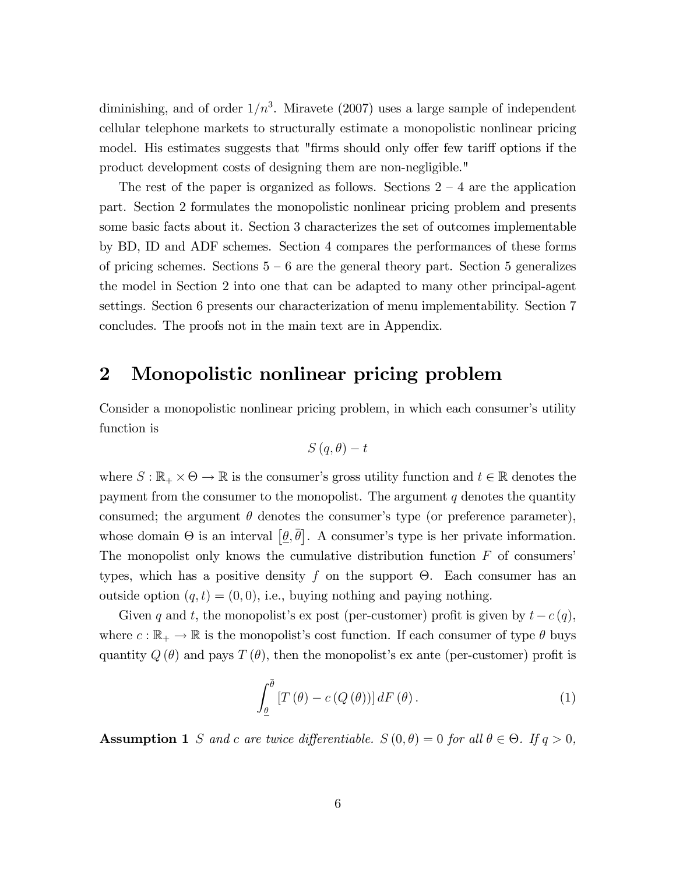diminishing, and of order  $1/n^3$ . Miravete (2007) uses a large sample of independent cellular telephone markets to structurally estimate a monopolistic nonlinear pricing model. His estimates suggests that "firms should only offer few tariff options if the product development costs of designing them are non-negligible."

The rest of the paper is organized as follows. Sections  $2 - 4$  are the application part. Section 2 formulates the monopolistic nonlinear pricing problem and presents some basic facts about it. Section 3 characterizes the set of outcomes implementable by BD, ID and ADF schemes. Section 4 compares the performances of these forms of pricing schemes. Sections  $5-6$  are the general theory part. Section 5 generalizes the model in Section 2 into one that can be adapted to many other principal-agent settings. Section 6 presents our characterization of menu implementability. Section 7 concludes. The proofs not in the main text are in Appendix.

## 2 Monopolistic nonlinear pricing problem

Consider a monopolistic nonlinear pricing problem, in which each consumer's utility function is

$$
S\left(q,\theta\right)-t
$$

where  $S : \mathbb{R}_+ \times \Theta \to \mathbb{R}$  is the consumer's gross utility function and  $t \in \mathbb{R}$  denotes the payment from the consumer to the monopolist. The argument  $q$  denotes the quantity consumed; the argument  $\theta$  denotes the consumer's type (or preference parameter), whose domain  $\Theta$  is an interval  $[\underline{\theta}, \overline{\theta}]$ . A consumer's type is her private information. The monopolist only knows the cumulative distribution function  $F$  of consumers' types, which has a positive density f on the support  $\Theta$ . Each consumer has an outside option  $(q, t) = (0, 0)$ , i.e., buying nothing and paying nothing.

Given q and t, the monopolist's expost (per-customer) profit is given by  $t - c(q)$ , where  $c : \mathbb{R}_+ \to \mathbb{R}$  is the monopolist's cost function. If each consumer of type  $\theta$  buys quantity  $Q(\theta)$  and pays  $T(\theta)$ , then the monopolist's ex ante (per-customer) profit is

$$
\int_{\underline{\theta}}^{\overline{\theta}} \left[ T(\theta) - c(Q(\theta)) \right] dF(\theta). \tag{1}
$$

**Assumption 1** S and c are twice differentiable.  $S(0, \theta) = 0$  for all  $\theta \in \Theta$ . If  $q > 0$ ,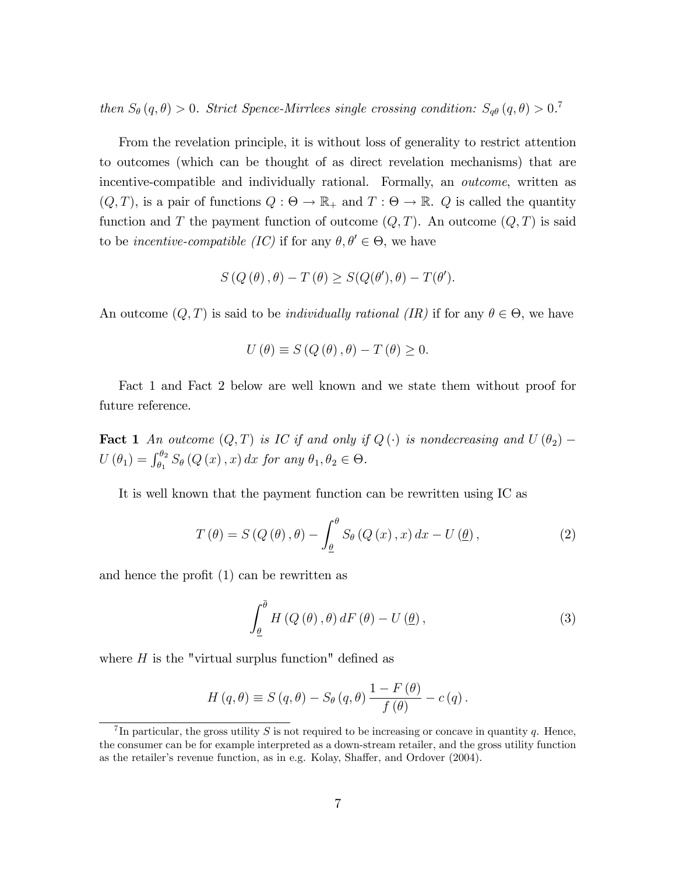then  $S_{\theta}(q,\theta) > 0$ . Strict Spence-Mirrlees single crossing condition:  $S_{q\theta}(q,\theta) > 0$ .<sup>7</sup>

From the revelation principle, it is without loss of generality to restrict attention to outcomes (which can be thought of as direct revelation mechanisms) that are incentive-compatible and individually rational. Formally, an outcome, written as  $(Q, T)$ , is a pair of functions  $Q : \Theta \to \mathbb{R}_+$  and  $T : \Theta \to \mathbb{R}$ . Q is called the quantity function and T the payment function of outcome  $(Q, T)$ . An outcome  $(Q, T)$  is said to be *incentive-compatible (IC)* if for any  $\theta, \theta' \in \Theta$ , we have

$$
S(Q(\theta), \theta) - T(\theta) \ge S(Q(\theta'), \theta) - T(\theta').
$$

An outcome  $(Q, T)$  is said to be *individually rational (IR)* if for any  $\theta \in \Theta$ , we have

$$
U(\theta) \equiv S(Q(\theta), \theta) - T(\theta) \ge 0.
$$

Fact 1 and Fact 2 below are well known and we state them without proof for future reference.

**Fact 1** An outcome  $(Q, T)$  is IC if and only if  $Q(\cdot)$  is nondecreasing and  $U(\theta_2)$  –  $U(\theta_1) = \int_{\theta_1}^{\theta_2} S_{\theta} (Q(x), x) dx$  for any  $\theta_1, \theta_2 \in \Theta$ .

It is well known that the payment function can be rewritten using IC as

$$
T(\theta) = S(Q(\theta), \theta) - \int_{\underline{\theta}}^{\theta} S_{\theta}(Q(x), x) dx - U(\underline{\theta}), \qquad (2)
$$

and hence the profit  $(1)$  can be rewritten as

$$
\int_{\underline{\theta}}^{\overline{\theta}} H(Q(\theta), \theta) dF(\theta) - U(\underline{\theta}), \qquad (3)
$$

where  $H$  is the "virtual surplus function" defined as

$$
H(q, \theta) \equiv S(q, \theta) - S_{\theta}(q, \theta) \frac{1 - F(\theta)}{f(\theta)} - c(q).
$$

<sup>&</sup>lt;sup>7</sup>In particular, the gross utility S is not required to be increasing or concave in quantity q. Hence, the consumer can be for example interpreted as a down-stream retailer, and the gross utility function as the retailer's revenue function, as in e.g. Kolay, Shaffer, and Ordover (2004).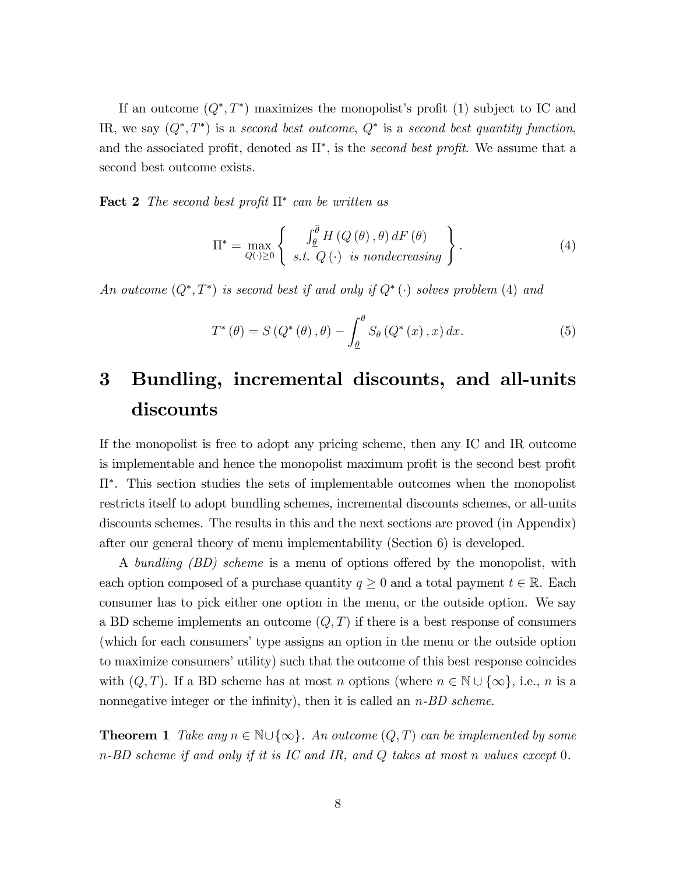If an outcome  $(Q^*,T^*)$  maximizes the monopolist's profit (1) subject to IC and IR, we say  $(Q^*, T^*)$  is a second best outcome,  $Q^*$  is a second best quantity function, and the associated profit, denoted as  $\Pi^*$ , is the second best profit. We assume that a second best outcome exists.

**Fact 2** The second best profit  $\Pi^*$  can be written as

$$
\Pi^* = \max_{Q(\cdot) \ge 0} \left\{ \begin{array}{c} \int_{\underline{\theta}}^{\overline{\theta}} H(Q(\theta), \theta) dF(\theta) \\ s.t. \ Q(\cdot) \ \text{is nondecreasing} \end{array} \right\}.
$$
 (4)

An outcome  $(Q^*, T^*)$  is second best if and only if  $Q^*$  ( $\cdot$ ) solves problem (4) and

$$
T^{\ast}(\theta) = S(Q^{\ast}(\theta), \theta) - \int_{\underline{\theta}}^{\theta} S_{\theta}(Q^{\ast}(x), x) dx.
$$
 (5)

# 3 Bundling, incremental discounts, and all-units discounts

If the monopolist is free to adopt any pricing scheme, then any IC and IR outcome is implementable and hence the monopolist maximum profit is the second best profit . This section studies the sets of implementable outcomes when the monopolist restricts itself to adopt bundling schemes, incremental discounts schemes, or all-units discounts schemes. The results in this and the next sections are proved (in Appendix) after our general theory of menu implementability (Section 6) is developed.

A bundling (BD) scheme is a menu of options offered by the monopolist, with each option composed of a purchase quantity  $q \geq 0$  and a total payment  $t \in \mathbb{R}$ . Each consumer has to pick either one option in the menu, or the outside option. We say a BD scheme implements an outcome  $(Q, T)$  if there is a best response of consumers (which for each consumers' type assigns an option in the menu or the outside option to maximize consumers' utility) such that the outcome of this best response coincides with  $(Q, T)$ . If a BD scheme has at most n options (where  $n \in \mathbb{N} \cup \{\infty\}$ , i.e., n is a nonnegative integer or the infinity), then it is called an  $n$ -BD scheme.

**Theorem 1** Take any  $n \in \mathbb{N} \cup \{\infty\}$ . An outcome  $(Q, T)$  can be implemented by some n-BD scheme if and only if it is IC and IR, and Q takes at most n values except 0.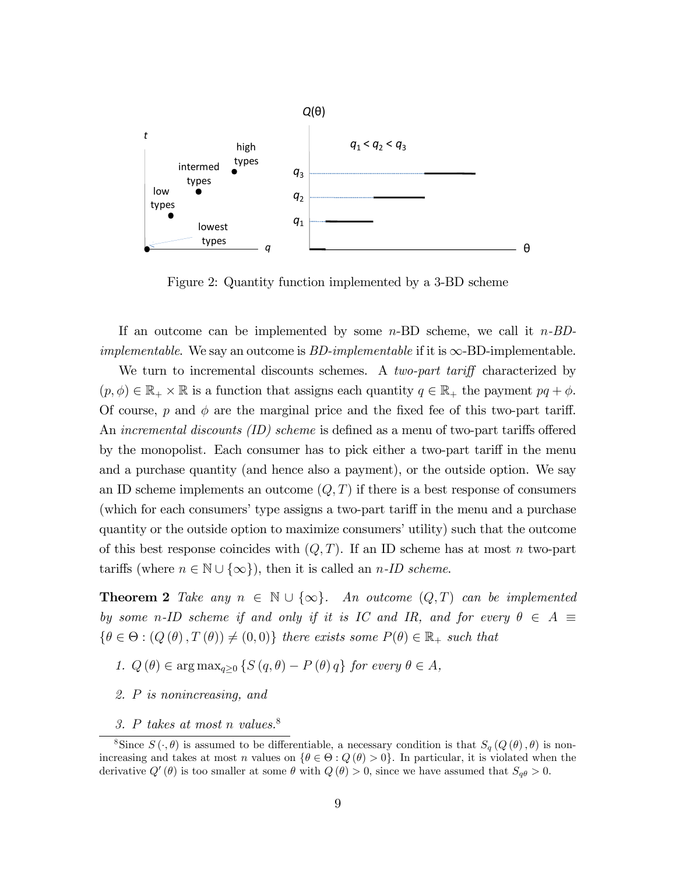

Figure 2: Quantity function implemented by a 3-BD scheme

If an outcome can be implemented by some  $n$ -BD scheme, we call it  $n$ -BD*implementable.* We say an outcome is  $BD\text{-}implementable$  if it is  $\infty$ -BD-implementable.

We turn to incremental discounts schemes. A two-part tariff characterized by  $(p, \phi) \in \mathbb{R}_+ \times \mathbb{R}$  is a function that assigns each quantity  $q \in \mathbb{R}_+$  the payment  $pq + \phi$ . Of course, p and  $\phi$  are the marginal price and the fixed fee of this two-part tariff. An incremental discounts (ID) scheme is defined as a menu of two-part tariffs offered by the monopolist. Each consumer has to pick either a two-part tariff in the menu and a purchase quantity (and hence also a payment), or the outside option. We say an ID scheme implements an outcome  $(Q, T)$  if there is a best response of consumers (which for each consumers' type assigns a two-part tariff in the menu and a purchase quantity or the outside option to maximize consumers' utility) such that the outcome of this best response coincides with  $(Q, T)$ . If an ID scheme has at most n two-part tariffs (where  $n \in \mathbb{N} \cup \{\infty\}$ ), then it is called an *n*-*ID scheme*.

**Theorem 2** Take any  $n \in \mathbb{N} \cup \{\infty\}$ . An outcome  $(Q, T)$  can be implemented by some n-ID scheme if and only if it is IC and IR, and for every  $\theta \in A \equiv$  $\{\theta \in \Theta : (Q(\theta), T(\theta)) \neq (0,0)\}\$  there exists some  $P(\theta) \in \mathbb{R}_+$  such that

1.  $Q(\theta) \in \arg \max_{q>0} \{S(q, \theta) - P(\theta) q\}$  for every  $\theta \in A$ ,

- 2. P is nonincreasing, and
- 3. P takes at most n values.<sup>8</sup>

<sup>&</sup>lt;sup>8</sup>Since  $S(\cdot, \theta)$  is assumed to be differentiable, a necessary condition is that  $S_q(Q(\theta), \theta)$  is nonincreasing and takes at most *n* values on  $\{\theta \in \Theta : Q(\theta) > 0\}$ . In particular, it is violated when the derivative  $Q'(\theta)$  is too smaller at some  $\theta$  with  $Q(\theta) > 0$ , since we have assumed that  $S_{q\theta} > 0$ .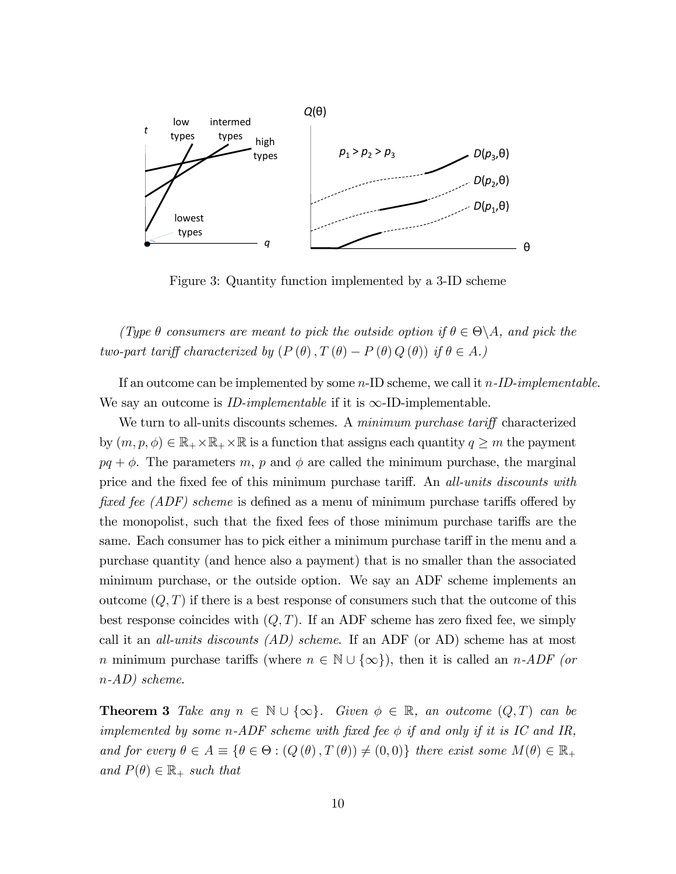

Figure 3: Quantity function implemented by a 3-ID scheme

(Type  $\theta$  consumers are meant to pick the outside option if  $\theta \in \Theta \backslash A$ , and pick the two-part tariff characterized by  $(P(\theta), T(\theta) - P(\theta) Q(\theta))$  if  $\theta \in A$ .)

If an outcome can be implemented by some  $n$ -ID scheme, we call it  $n$ -ID-implementable. We say an outcome is *ID-implementable* if it is  $\infty$ -ID-implementable.

We turn to all-units discounts schemes. A *minimum purchase tariff* characterized by  $(m, p, \phi) \in \mathbb{R}_+ \times \mathbb{R}_+ \times \mathbb{R}$  is a function that assigns each quantity  $q \ge m$  the payment  $pq + \phi$ . The parameters m, p and  $\phi$  are called the minimum purchase, the marginal price and the fixed fee of this minimum purchase tariff. An all-units discounts with fixed fee  $(ADF)$  scheme is defined as a menu of minimum purchase tariffs offered by the monopolist, such that the fixed fees of those minimum purchase tariffs are the same. Each consumer has to pick either a minimum purchase tariff in the menu and a purchase quantity (and hence also a payment) that is no smaller than the associated minimum purchase, or the outside option. We say an ADF scheme implements an outcome  $(Q, T)$  if there is a best response of consumers such that the outcome of this best response coincides with  $(Q, T)$ . If an ADF scheme has zero fixed fee, we simply call it an *all-units discounts*  $(AD)$  scheme. If an ADF (or AD) scheme has at most n minimum purchase tariffs (where  $n \in \mathbb{N} \cup \{\infty\}$ ), then it is called an n-ADF (or n-AD) scheme.

**Theorem 3** Take any  $n \in \mathbb{N} \cup \{\infty\}$ . Given  $\phi \in \mathbb{R}$ , an outcome  $(Q, T)$  can be implemented by some n-ADF scheme with fixed fee  $\phi$  if and only if it is IC and IR, and for every  $\theta \in A \equiv \{ \theta \in \Theta : (Q(\theta), T(\theta)) \neq (0, 0) \}$  there exist some  $M(\theta) \in \mathbb{R}_+$ and  $P(\theta) \in \mathbb{R}_+$  such that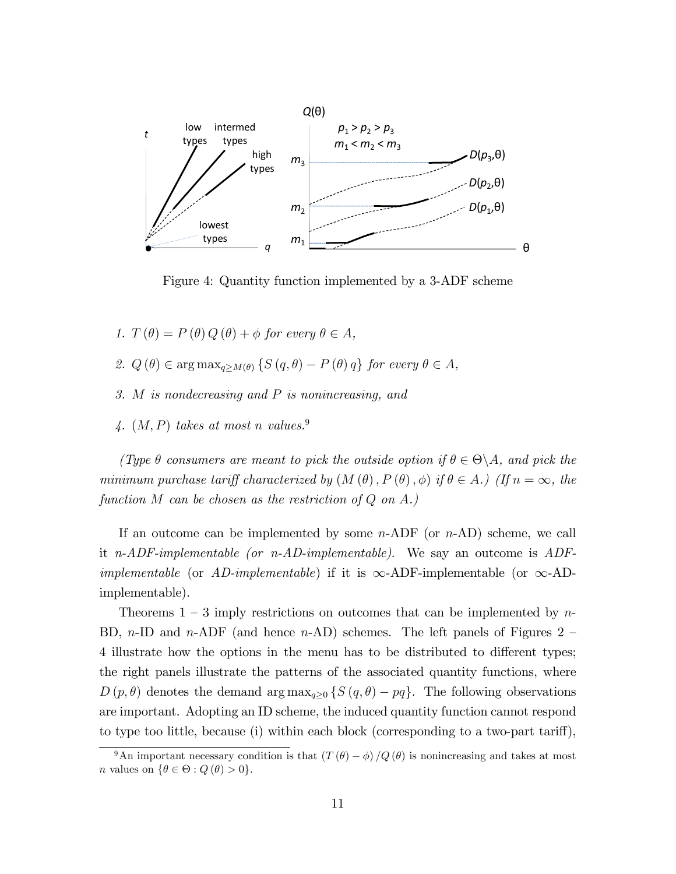

Figure 4: Quantity function implemented by a 3-ADF scheme

- 1.  $T(\theta) = P(\theta) Q(\theta) + \phi$  for every  $\theta \in A$ ,
- 2.  $Q(\theta) \in \arg \max_{q>M(\theta)} \{S(q, \theta) P(\theta) q\}$  for every  $\theta \in A$ ,
- 3.  $M$  is nondecreasing and  $P$  is nonincreasing, and
- 4.  $(M, P)$  takes at most n values.<sup>9</sup>

(Type  $\theta$  consumers are meant to pick the outside option if  $\theta \in \Theta \backslash A$ , and pick the minimum purchase tariff characterized by  $(M(\theta), P(\theta), \phi)$  if  $\theta \in A$ .) (If  $n = \infty$ , the function  $M$  can be chosen as the restriction of  $Q$  on  $A$ .)

If an outcome can be implemented by some  $n$ -ADF (or  $n$ -AD) scheme, we call it n-ADF-implementable (or n-AD-implementable). We say an outcome is  $ADF$ *implementable* (or AD-implementable) if it is  $\infty$ -ADF-implementable (or  $\infty$ -ADimplementable).

Theorems  $1 - 3$  imply restrictions on outcomes that can be implemented by n-BD, n-ID and n-ADF (and hence n-AD) schemes. The left panels of Figures 2 – 4 illustrate how the options in the menu has to be distributed to different types; the right panels illustrate the patterns of the associated quantity functions, where  $D(p,\theta)$  denotes the demand  $\arg \max_{q\geq 0} \{S(q,\theta) - pq\}$ . The following observations are important. Adopting an ID scheme, the induced quantity function cannot respond to type too little, because (i) within each block (corresponding to a two-part tariff),

 $\frac{1}{9}$ An important necessary condition is that  $(T(\theta) - \phi) / Q(\theta)$  is nonincreasing and takes at most *n* values on  $\{\theta \in \Theta : Q(\theta) > 0\}.$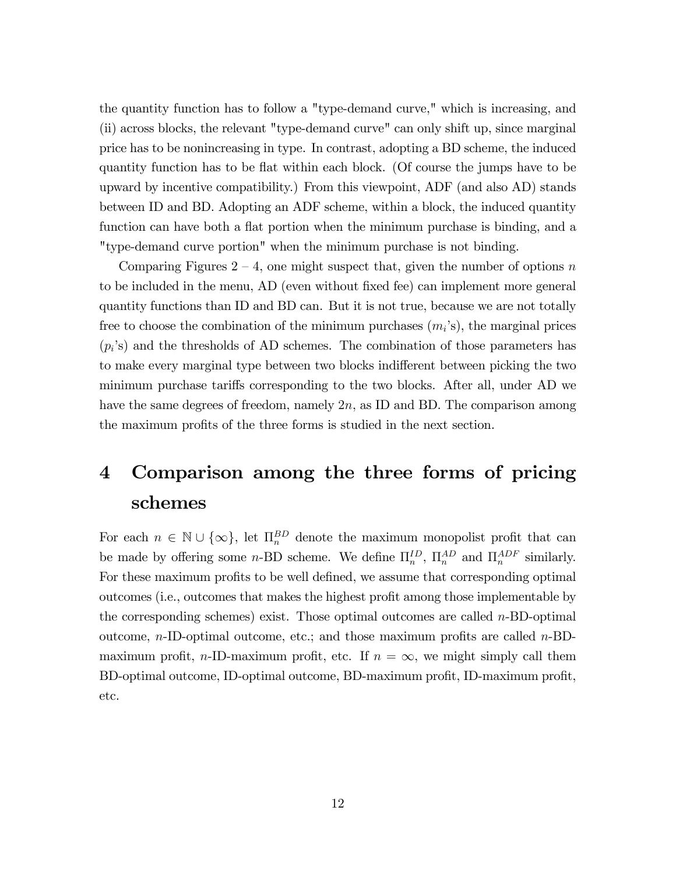the quantity function has to follow a "type-demand curve," which is increasing, and (ii) across blocks, the relevant "type-demand curve" can only shift up, since marginal price has to be nonincreasing in type. In contrast, adopting a BD scheme, the induced quantity function has to be flat within each block. (Of course the jumps have to be upward by incentive compatibility.) From this viewpoint, ADF (and also AD) stands between ID and BD. Adopting an ADF scheme, within a block, the induced quantity function can have both a flat portion when the minimum purchase is binding, and a "type-demand curve portion" when the minimum purchase is not binding.

Comparing Figures  $2 - 4$ , one might suspect that, given the number of options n to be included in the menu, AD (even without fixed fee) can implement more general quantity functions than ID and BD can. But it is not true, because we are not totally free to choose the combination of the minimum purchases  $(m_i)$ ; the marginal prices  $(p_i)$  and the thresholds of AD schemes. The combination of those parameters has to make every marginal type between two blocks indifferent between picking the two minimum purchase tariffs corresponding to the two blocks. After all, under AD we have the same degrees of freedom, namely  $2n$ , as ID and BD. The comparison among the maximum profits of the three forms is studied in the next section.

# 4 Comparison among the three forms of pricing schemes

For each  $n \in \mathbb{N} \cup \{\infty\}$ , let  $\Pi_n^{BD}$  denote the maximum monopolist profit that can be made by offering some *n*-BD scheme. We define  $\Pi_n^{ID}$ ,  $\Pi_n^{AD}$  and  $\Pi_n^{ADF}$  similarly. For these maximum profits to be well defined, we assume that corresponding optimal outcomes (i.e., outcomes that makes the highest profit among those implementable by the corresponding schemes) exist. Those optimal outcomes are called  $n$ -BD-optimal outcome,  $n$ -ID-optimal outcome, etc.; and those maximum profits are called  $n$ -BDmaximum profit, n-ID-maximum profit, etc. If  $n = \infty$ , we might simply call them BD-optimal outcome, ID-optimal outcome, BD-maximum profit, ID-maximum profit, etc.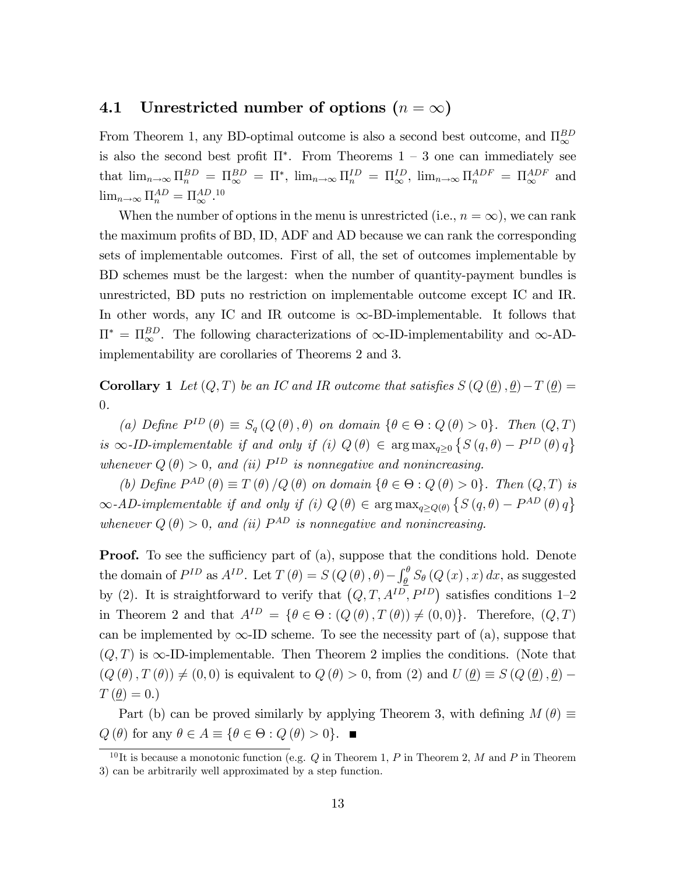#### 4.1 Unrestricted number of options  $(n = \infty)$

From Theorem 1, any BD-optimal outcome is also a second best outcome, and  $\Pi_{\infty}^{BD}$ is also the second best profit  $\Pi^*$ . From Theorems  $1-3$  one can immediately see that  $\lim_{n\to\infty} \Pi_n^{BD} = \Pi_{\infty}^{\infty} = \Pi^*$ ,  $\lim_{n\to\infty} \Pi_n^{ID} = \Pi_{\infty}^{ID}$ ,  $\lim_{n\to\infty} \Pi_n^{ADF} = \Pi_{\infty}^{ADF}$  and  $\lim_{n\to\infty} \Pi_n^{AD} = \Pi_{\infty}^{AD}.^{10}$ 

When the number of options in the menu is unrestricted (i.e.,  $n = \infty$ ), we can rank the maximum profits of BD, ID, ADF and AD because we can rank the corresponding sets of implementable outcomes. First of all, the set of outcomes implementable by BD schemes must be the largest: when the number of quantity-payment bundles is unrestricted, BD puts no restriction on implementable outcome except IC and IR. In other words, any IC and IR outcome is  $\infty$ -BD-implementable. It follows that  $\Pi^* = \Pi_{\infty}^{BD}$ . The following characterizations of  $\infty$ -ID-implementability and  $\infty$ -ADimplementability are corollaries of Theorems 2 and 3.

**Corollary 1** Let  $(Q, T)$  be an IC and IR outcome that satisfies  $S(Q(\underline{\theta}), \underline{\theta}) - T(\underline{\theta}) =$ 0.

(a) Define  $P^{ID}(\theta) \equiv S_q(Q(\theta), \theta)$  on domain  $\{\theta \in \Theta : Q(\theta) > 0\}$ . Then  $(Q, T)$ is  $\infty$ -ID-implementable if and only if (i)  $Q(\theta) \in \arg \max_{q \ge 0} \left\{ S(q, \theta) - P^{ID}(\theta) q \right\}$ whenever  $Q(\theta) > 0$ , and (ii)  $P^{ID}$  is nonnegative and nonincreasing.

(b) Define  $P^{AD}(\theta) \equiv T(\theta) / Q(\theta)$  on domain  $\{\theta \in \Theta : Q(\theta) > 0\}$ . Then  $(Q, T)$  is  $\infty$ -AD-implementable if and only if (i)  $Q(\theta) \in \arg \max_{q \ge Q(\theta)} \left\{ S(q, \theta) - P^{AD}(\theta) q \right\}$ whenever  $Q(\theta) > 0$ , and (ii)  $P^{AD}$  is nonnegative and nonincreasing.

**Proof.** To see the sufficiency part of (a), suppose that the conditions hold. Denote the domain of  $P^{ID}$  as  $A^{ID}$ . Let  $T(\theta) = S(Q(\theta), \theta) - \int_{\theta}^{\theta} S_{\theta}(Q(x), x) dx$ , as suggested by (2). It is straightforward to verify that  $(Q, T, A^{ID}, P^{ID})$  satisfies conditions 1-2 in Theorem 2 and that  $A^{ID} = \{ \theta \in \Theta : (Q(\theta), T(\theta)) \neq (0, 0) \}.$  Therefore,  $(Q, T)$ can be implemented by  $\infty$ -ID scheme. To see the necessity part of (a), suppose that  $(Q, T)$  is  $\infty$ -ID-implementable. Then Theorem 2 implies the conditions. (Note that  $(Q(\theta), T(\theta)) \neq (0, 0)$  is equivalent to  $Q(\theta) > 0$ , from  $(2)$  and  $U(\underline{\theta}) \equiv S(Q(\underline{\theta}), \underline{\theta})$  - $T(\underline{\theta}) = 0.$ 

Part (b) can be proved similarly by applying Theorem 3, with defining  $M(\theta) \equiv$  $Q(\theta)$  for any  $\theta \in A \equiv {\theta \in \Theta : Q(\theta) > 0}.$ 

<sup>&</sup>lt;sup>10</sup>It is because a monotonic function (e.g. Q in Theorem 1, P in Theorem 2, M and P in Theorem 3) can be arbitrarily well approximated by a step function.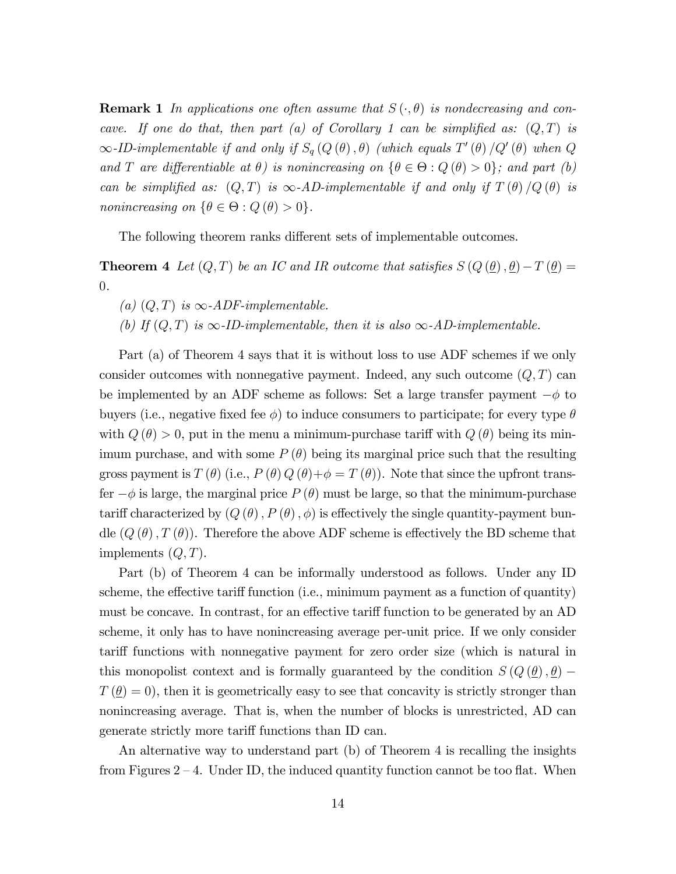**Remark 1** In applications one often assume that  $S(\cdot,\theta)$  is nondecreasing and concave. If one do that, then part (a) of Corollary 1 can be simplified as:  $(Q, T)$  is  $\infty$ -ID-implementable if and only if  $S_q(Q(\theta), \theta)$  (which equals  $T'(\theta)/Q'(\theta)$  when  $Q$ and T are differentiable at  $\theta$ ) is nonincreasing on  $\{\theta \in \Theta : Q(\theta) > 0\}$ ; and part (b) can be simplified as:  $(Q, T)$  is  $\infty$ -AD-implementable if and only if  $T (\theta) / Q (\theta)$  is nonincreasing on  $\{\theta \in \Theta : Q(\theta) > 0\}.$ 

The following theorem ranks different sets of implementable outcomes.

**Theorem 4** Let  $(Q, T)$  be an IC and IR outcome that satisfies  $S(Q(\underline{\theta}), \underline{\theta}) - T(\underline{\theta}) =$ 0.

(a)  $(Q, T)$  is  $\infty$ -ADF-implementable.

(b) If  $(Q, T)$  is  $\infty$ -ID-implementable, then it is also  $\infty$ -AD-implementable.

Part (a) of Theorem 4 says that it is without loss to use ADF schemes if we only consider outcomes with nonnegative payment. Indeed, any such outcome  $(Q, T)$  can be implemented by an ADF scheme as follows: Set a large transfer payment  $-\phi$  to buyers (i.e., negative fixed fee  $\phi$ ) to induce consumers to participate; for every type  $\theta$ with  $Q(\theta) > 0$ , put in the menu a minimum-purchase tariff with  $Q(\theta)$  being its minimum purchase, and with some  $P(\theta)$  being its marginal price such that the resulting gross payment is  $T(\theta)$  (i.e.,  $P(\theta) Q(\theta) + \phi = T(\theta)$ ). Note that since the upfront transfer  $-\phi$  is large, the marginal price  $P(\theta)$  must be large, so that the minimum-purchase tariff characterized by  $(Q(\theta), P(\theta), \phi)$  is effectively the single quantity-payment bundle  $(Q(\theta), T(\theta))$ . Therefore the above ADF scheme is effectively the BD scheme that implements  $(Q, T)$ .

Part (b) of Theorem 4 can be informally understood as follows. Under any ID scheme, the effective tariff function (i.e., minimum payment as a function of quantity) must be concave. In contrast, for an effective tariff function to be generated by an AD scheme, it only has to have nonincreasing average per-unit price. If we only consider tariff functions with nonnegative payment for zero order size (which is natural in this monopolist context and is formally guaranteed by the condition  $S(Q(\underline{\theta}), \underline{\theta})$  $T(\underline{\theta}) = 0$ , then it is geometrically easy to see that concavity is strictly stronger than nonincreasing average. That is, when the number of blocks is unrestricted, AD can generate strictly more tariff functions than ID can.

An alternative way to understand part (b) of Theorem 4 is recalling the insights from Figures  $2 - 4$ . Under ID, the induced quantity function cannot be too flat. When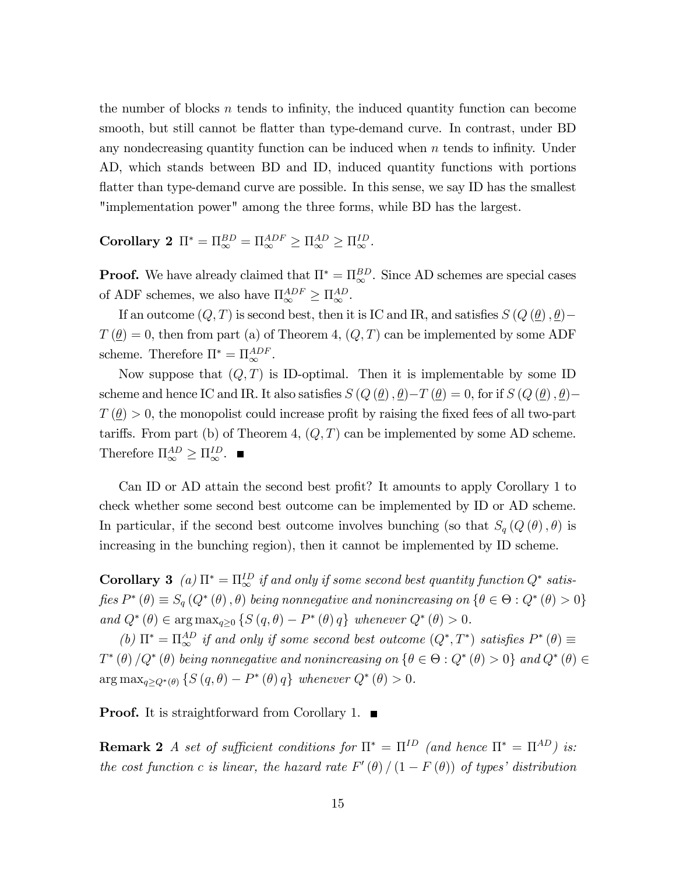the number of blocks n tends to infinity, the induced quantity function can become smooth, but still cannot be flatter than type-demand curve. In contrast, under BD any nondecreasing quantity function can be induced when  $n$  tends to infinity. Under AD, which stands between BD and ID, induced quantity functions with portions flatter than type-demand curve are possible. In this sense, we say ID has the smallest "implementation power" among the three forms, while BD has the largest.

Corollary 2  $\Pi^* = \Pi_{\infty}^{BD} = \Pi_{\infty}^{ADF} \ge \Pi_{\infty}^{AD} \ge \Pi_{\infty}^{ID}$ .

**Proof.** We have already claimed that  $\Pi^* = \Pi_{\infty}^{BD}$ . Since AD schemes are special cases of ADF schemes, we also have  $\Pi_{\infty}^{ADE} \geq \Pi_{\infty}^{AD}$ .

If an outcome  $(Q, T)$  is second best, then it is IC and IR, and satisfies  $S(Q(\underline{\theta}), \underline{\theta})$  $T(\underline{\theta}) = 0$ , then from part (a) of Theorem 4,  $(Q, T)$  can be implemented by some ADF scheme. Therefore  $\Pi^* = \Pi_{\infty}^{ADF}$ .

Now suppose that  $(Q, T)$  is ID-optimal. Then it is implementable by some ID scheme and hence IC and IR. It also satisfies  $S(Q(\underline{\theta}), \underline{\theta})-T(\underline{\theta}) = 0$ , for if  $S(Q(\underline{\theta}), \underline{\theta}) T(\theta) > 0$ , the monopolist could increase profit by raising the fixed fees of all two-part tariffs. From part (b) of Theorem 4,  $(Q, T)$  can be implemented by some AD scheme. Therefore  $\Pi_{\infty}^{AD} \geq \Pi_{\infty}^{ID}$ .

Can ID or AD attain the second best profit? It amounts to apply Corollary 1 to check whether some second best outcome can be implemented by ID or AD scheme. In particular, if the second best outcome involves bunching (so that  $S_q(Q(\theta), \theta)$  is increasing in the bunching region), then it cannot be implemented by ID scheme.

**Corollary 3** (a)  $\Pi^* = \Pi_{\infty}^{ID}$  if and only if some second best quantity function  $Q^*$  satisfies  $P^*(\theta) \equiv S_q(Q^*(\theta), \theta)$  being nonnegative and nonincreasing on  $\{\theta \in \Theta : Q^*(\theta) > 0\}$ and  $Q^*(\theta) \in \arg \max_{q \ge 0} \{ S(q, \theta) - P^*(\theta) q \}$  whenever  $Q^*(\theta) > 0$ .

(b)  $\Pi^* = \Pi_{\infty}^{AD}$  if and only if some second best outcome  $(Q^*, T^*)$  satisfies  $P^*(\theta) \equiv$  $T^{*}(\theta)/Q^{*}(\theta)$  being nonnegative and nonincreasing on  $\{\theta \in \Theta: Q^{*}(\theta) > 0\}$  and  $Q^{*}(\theta) \in$  $\arg \max_{q \ge Q^*(\theta)} \left\{ S\left( q, \theta \right) - P^*\left( \theta \right) q \right\}$  whenever  $Q^*(\theta) > 0$ .

**Proof.** It is straightforward from Corollary 1.  $\blacksquare$ 

**Remark 2** A set of sufficient conditions for  $\Pi^* = \Pi^{ID}$  (and hence  $\Pi^* = \Pi^{AD}$ ) is: the cost function c is linear, the hazard rate  $F'(\theta) / (1 - F(\theta))$  of types' distribution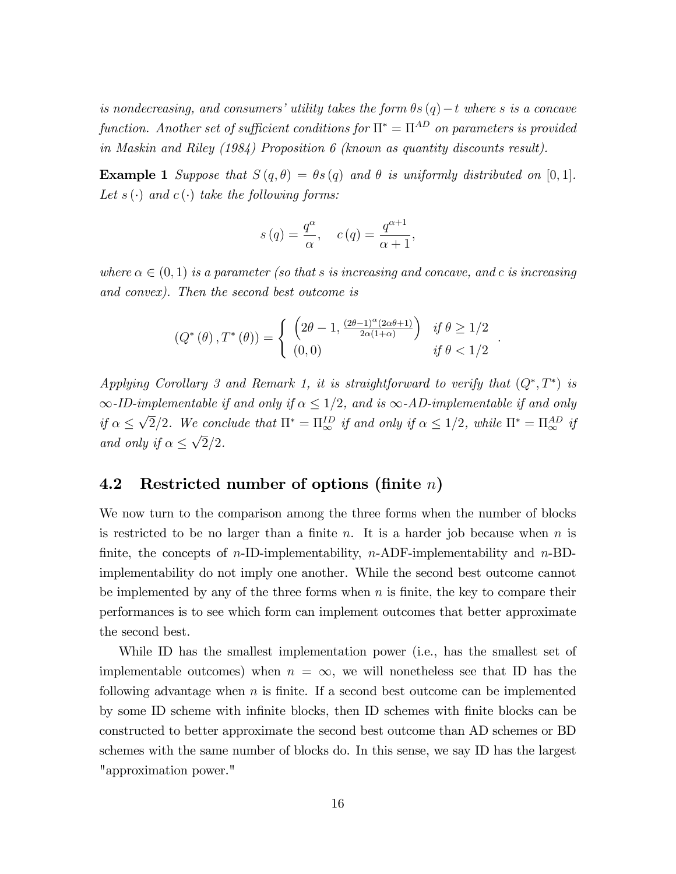is nondecreasing, and consumers' utility takes the form  $\theta s (q) - t$  where s is a concave function. Another set of sufficient conditions for  $\Pi^* = \Pi^{AD}$  on parameters is provided in Maskin and Riley (1984) Proposition 6 (known as quantity discounts result).

**Example 1** Suppose that  $S(q, \theta) = \theta s(q)$  and  $\theta$  is uniformly distributed on [0,1]. Let  $s(\cdot)$  and  $c(\cdot)$  take the following forms:

$$
s(q) = \frac{q^{\alpha}}{\alpha}, \quad c(q) = \frac{q^{\alpha+1}}{\alpha+1},
$$

where  $\alpha \in (0, 1)$  is a parameter (so that s is increasing and concave, and c is increasing and convex). Then the second best outcome is

$$
(Q^*(\theta), T^*(\theta)) = \begin{cases} \left(2\theta - 1, \frac{(2\theta - 1)^{\alpha}(2\alpha\theta + 1)}{2\alpha(1+\alpha)}\right) & \text{if } \theta \ge 1/2\\ (0,0) & \text{if } \theta < 1/2 \end{cases}.
$$

Applying Corollary 3 and Remark 1, it is straightforward to verify that  $(Q^*,T^*)$  is  $\infty$ -ID-implementable if and only if  $\alpha \leq 1/2$ , and is  $\infty$ -AD-implementable if and only if  $\alpha \leq \sqrt{2}/2$ . We conclude that  $\Pi^* = \Pi_{\infty}^{ID}$  if and only if  $\alpha \leq 1/2$ , while  $\Pi^* = \Pi_{\infty}^{AD}$  if and only if  $\alpha \leq \sqrt{2}/2$ .

#### 4.2 Restricted number of options (finite  $n$ )

We now turn to the comparison among the three forms when the number of blocks is restricted to be no larger than a finite n. It is a harder job because when n is finite, the concepts of n-ID-implementability,  $n$ -ADF-implementability and  $n$ -BDimplementability do not imply one another. While the second best outcome cannot be implemented by any of the three forms when  $n$  is finite, the key to compare their performances is to see which form can implement outcomes that better approximate the second best.

While ID has the smallest implementation power (i.e., has the smallest set of implementable outcomes) when  $n = \infty$ , we will nonetheless see that ID has the following advantage when  $n$  is finite. If a second best outcome can be implemented by some ID scheme with infinite blocks, then ID schemes with finite blocks can be constructed to better approximate the second best outcome than AD schemes or BD schemes with the same number of blocks do. In this sense, we say ID has the largest "approximation power."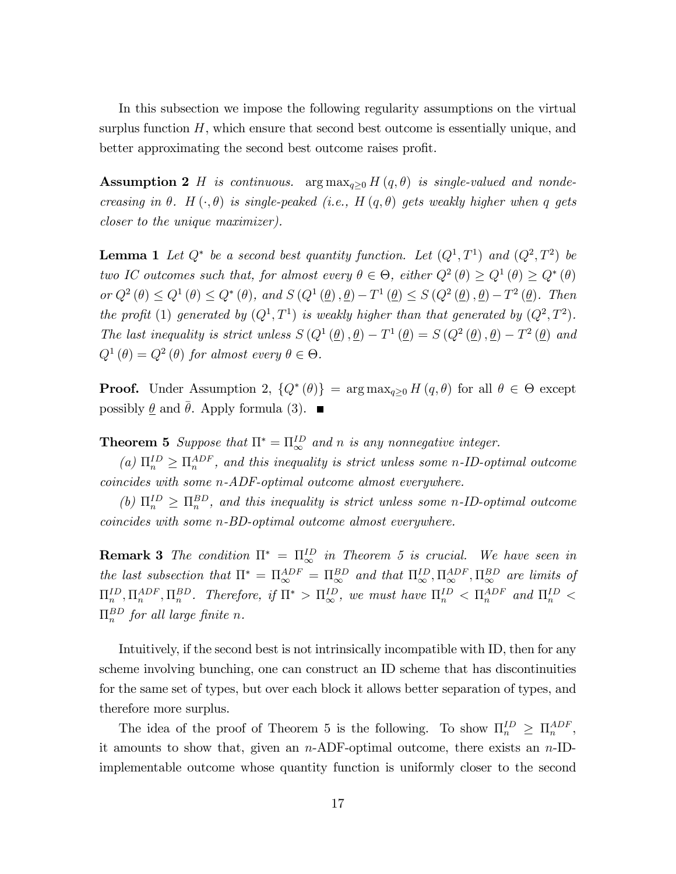In this subsection we impose the following regularity assumptions on the virtual surplus function  $H$ , which ensure that second best outcome is essentially unique, and better approximating the second best outcome raises profit.

**Assumption 2** H is continuous. arg  $\max_{q>0} H(q, \theta)$  is single-valued and nondecreasing in  $\theta$ .  $H(\cdot, \theta)$  is single-peaked (i.e.,  $H(q, \theta)$  gets weakly higher when q gets closer to the unique maximizer).

**Lemma 1** Let  $Q^*$  be a second best quantity function. Let  $(Q^1, T^1)$  and  $(Q^2, T^2)$  be two IC outcomes such that, for almost every  $\theta \in \Theta$ , either  $Q^2(\theta) \ge Q^1(\theta) \ge Q^*(\theta)$ or  $Q^2(\theta) \le Q^1(\theta) \le Q^*(\theta)$ , and  $S(Q^1(\underline{\theta}), \underline{\theta}) - T^1(\underline{\theta}) \le S(Q^2(\underline{\theta}), \underline{\theta}) - T^2(\underline{\theta})$ . Then the profit (1) generated by  $(Q^1, T^1)$  is weakly higher than that generated by  $(Q^2, T^2)$ . The last inequality is strict unless  $S(Q^1(\underline{\theta}), \underline{\theta}) - T^1(\underline{\theta}) = S(Q^2(\underline{\theta}), \underline{\theta}) - T^2(\underline{\theta})$  and  $Q^1(\theta) = Q^2(\theta)$  for almost every  $\theta \in \Theta$ .

**Proof.** Under Assumption 2,  $\{Q^*(\theta)\}$  =  $\arg \max_{q\geq 0} H(q, \theta)$  for all  $\theta \in \Theta$  except possibly  $\theta$  and  $\bar{\theta}$ . Apply formula (3).

**Theorem 5** Suppose that  $\Pi^* = \Pi_{\infty}^{ID}$  and n is any nonnegative integer.

(a)  $\Pi_n^{ID} \geq \Pi_n^{ADF}$ , and this inequality is strict unless some n-ID-optimal outcome coincides with some n-ADF-optimal outcome almost everywhere.

(b)  $\Pi_n^{ID} \geq \Pi_n^{BD}$ , and this inequality is strict unless some n-ID-optimal outcome coincides with some n-BD-optimal outcome almost everywhere.

**Remark 3** The condition  $\Pi^* = \Pi_{\infty}^{ID}$  in Theorem 5 is crucial. We have seen in the last subsection that  $\Pi^* = \Pi_{\infty}^{ADE} = \Pi_{\infty}^{BD}$  and that  $\Pi_{\infty}^{ID}, \Pi_{\infty}^{ADE}, \Pi_{\infty}^{BD}$  are limits of  $\Pi_n^{ID}, \Pi_n^{ADF}, \Pi_n^{BD}.$  Therefore, if  $\Pi^* > \Pi_{\infty}^{ID}$ , we must have  $\Pi_n^{ID} < \Pi_n^{ADF}$  and  $\Pi_n^{ID} <$  $\Pi_n^{BD}$  for all large finite n.

Intuitively, if the second best is not intrinsically incompatible with ID, then for any scheme involving bunching, one can construct an ID scheme that has discontinuities for the same set of types, but over each block it allows better separation of types, and therefore more surplus.

The idea of the proof of Theorem 5 is the following. To show  $\Pi_n^{ID} \geq \Pi_n^{ADF}$ , it amounts to show that, given an  $n$ -ADF-optimal outcome, there exists an  $n$ -IDimplementable outcome whose quantity function is uniformly closer to the second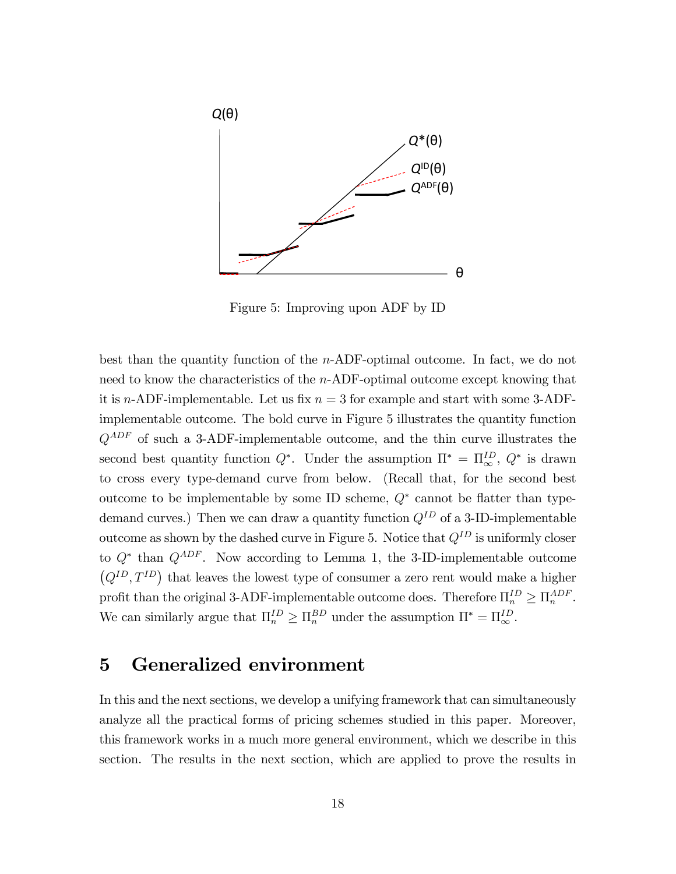

Figure 5: Improving upon ADF by ID

best than the quantity function of the n-ADF-optimal outcome. In fact, we do not need to know the characteristics of the n-ADF-optimal outcome except knowing that it is *n*-ADF-implementable. Let us fix  $n = 3$  for example and start with some 3-ADFimplementable outcome. The bold curve in Figure 5 illustrates the quantity function  $Q^{ADE}$  of such a 3-ADF-implementable outcome, and the thin curve illustrates the second best quantity function  $Q^*$ . Under the assumption  $\Pi^* = \Pi_{\infty}^{ID}$ ,  $Q^*$  is drawn to cross every type-demand curve from below. (Recall that, for the second best outcome to be implementable by some ID scheme,  $Q^*$  cannot be flatter than typedemand curves.) Then we can draw a quantity function  $Q^{ID}$  of a 3-ID-implementable outcome as shown by the dashed curve in Figure 5. Notice that  $Q^{ID}$  is uniformly closer to  $Q^*$  than  $Q^{ADF}$ . Now according to Lemma 1, the 3-ID-implementable outcome  $(Q^{ID}, T^{ID})$  that leaves the lowest type of consumer a zero rent would make a higher profit than the original 3-ADF-implementable outcome does. Therefore  $\Pi_n^{ID} \geq \Pi_n^{ADF}$ . We can similarly argue that  $\Pi_n^{ID} \geq \Pi_n^{BD}$  under the assumption  $\Pi^* = \Pi_{\infty}^{ID}$ .

## 5 Generalized environment

In this and the next sections, we develop a unifying framework that can simultaneously analyze all the practical forms of pricing schemes studied in this paper. Moreover, this framework works in a much more general environment, which we describe in this section. The results in the next section, which are applied to prove the results in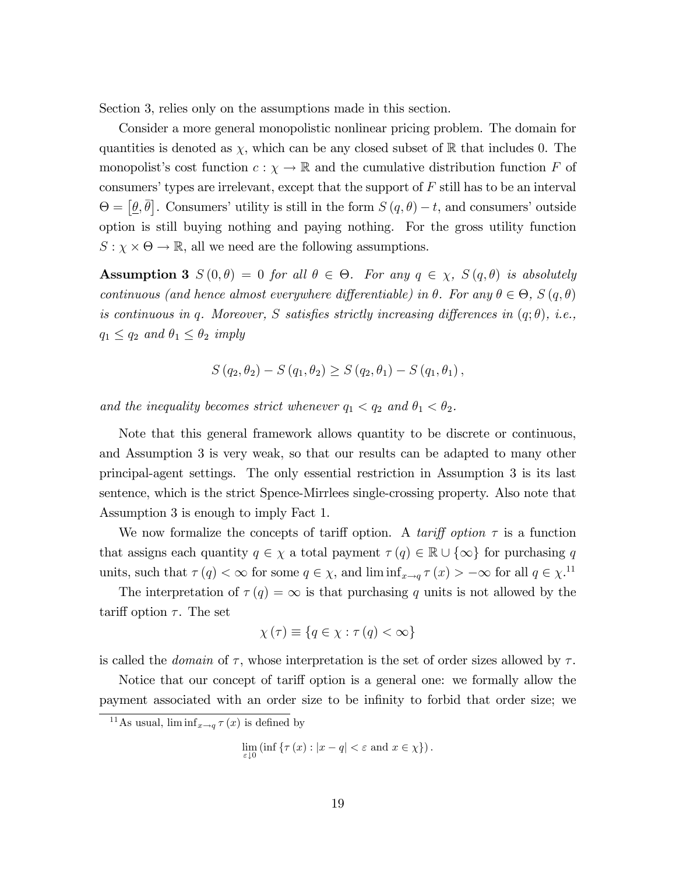Section 3, relies only on the assumptions made in this section.

Consider a more general monopolistic nonlinear pricing problem. The domain for quantities is denoted as  $\chi$ , which can be any closed subset of  $\mathbb R$  that includes 0. The monopolist's cost function  $c : \chi \to \mathbb{R}$  and the cumulative distribution function F of consumers' types are irrelevant, except that the support of  $F$  still has to be an interval  $\Theta = [\underline{\theta}, \overline{\theta}]$ . Consumers' utility is still in the form  $S(q, \theta) - t$ , and consumers' outside option is still buying nothing and paying nothing. For the gross utility function  $S: \chi \times \Theta \to \mathbb{R}$ , all we need are the following assumptions.

**Assumption 3**  $S(0, \theta) = 0$  for all  $\theta \in \Theta$ . For any  $q \in \chi$ ,  $S(q, \theta)$  is absolutely continuous (and hence almost everywhere differentiable) in  $\theta$ . For any  $\theta \in \Theta$ ,  $S(q, \theta)$ is continuous in q. Moreover, S satisfies strictly increasing differences in  $(q; \theta)$ , i.e.,  $q_1 \leq q_2$  and  $\theta_1 \leq \theta_2$  imply

$$
S(q_2, \theta_2) - S(q_1, \theta_2) \ge S(q_2, \theta_1) - S(q_1, \theta_1),
$$

and the inequality becomes strict whenever  $q_1 < q_2$  and  $\theta_1 < \theta_2$ .

Note that this general framework allows quantity to be discrete or continuous, and Assumption 3 is very weak, so that our results can be adapted to many other principal-agent settings. The only essential restriction in Assumption 3 is its last sentence, which is the strict Spence-Mirrlees single-crossing property. Also note that Assumption 3 is enough to imply Fact 1.

We now formalize the concepts of tariff option. A tariff option  $\tau$  is a function that assigns each quantity  $q \in \chi$  a total payment  $\tau(q) \in \mathbb{R} \cup \{\infty\}$  for purchasing q units, such that  $\tau(q) < \infty$  for some  $q \in \chi$ , and  $\liminf_{x \to q} \tau(x) > -\infty$  for all  $q \in \chi$ .<sup>11</sup>

The interpretation of  $\tau(q) = \infty$  is that purchasing q units is not allowed by the tariff option  $\tau$ . The set

$$
\chi(\tau) \equiv \{q \in \chi : \tau(q) < \infty\}
$$

is called the *domain* of  $\tau$ , whose interpretation is the set of order sizes allowed by  $\tau$ .

Notice that our concept of tariff option is a general one: we formally allow the payment associated with an order size to be infinity to forbid that order size; we

$$
\lim_{\varepsilon \downarrow 0} \left( \inf \left\{ \tau \left( x \right) : \left| x - q \right| < \varepsilon \text{ and } x \in \chi \right\} \right).
$$

<sup>&</sup>lt;sup>11</sup>As usual,  $\liminf_{x\to q} \tau(x)$  is defined by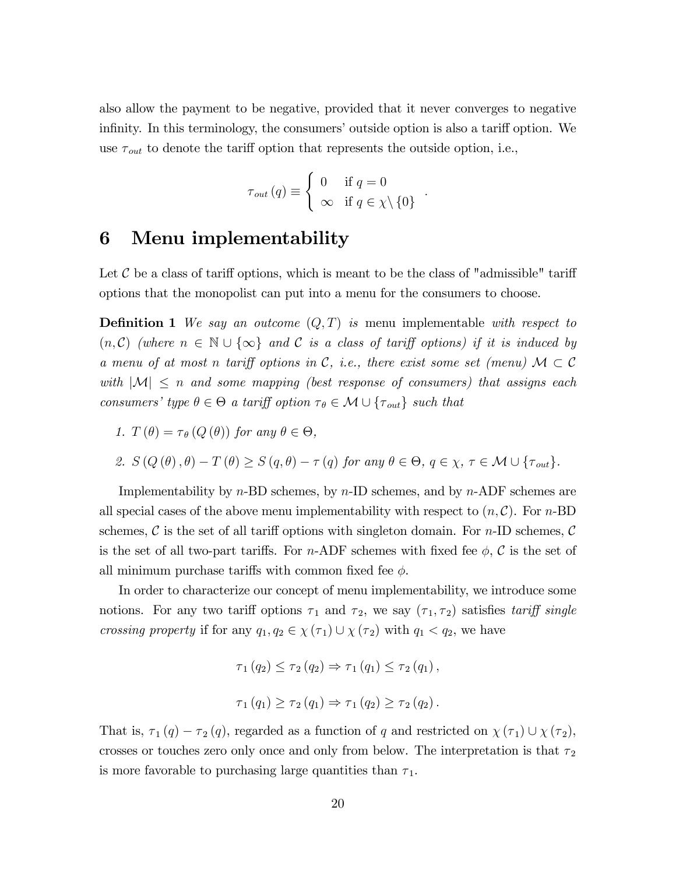also allow the payment to be negative, provided that it never converges to negative infinity. In this terminology, the consumers' outside option is also a tariff option. We use  $\tau_{out}$  to denote the tariff option that represents the outside option, i.e.,

$$
\tau_{out}(q) \equiv \begin{cases} 0 & \text{if } q = 0 \\ \infty & \text{if } q \in \chi \setminus \{0\} \end{cases}
$$

:

#### 6 Menu implementability

Let  $\mathcal C$  be a class of tariff options, which is meant to be the class of "admissible" tariff options that the monopolist can put into a menu for the consumers to choose.

**Definition 1** We say an outcome  $(Q, T)$  is menu implementable with respect to  $(n, \mathcal{C})$  (where  $n \in \mathbb{N} \cup \{\infty\}$  and  $\mathcal C$  is a class of tariff options) if it is induced by a menu of at most n tariff options in C, i.e., there exist some set (menu)  $\mathcal{M} \subset \mathcal{C}$ with  $|M| \leq n$  and some mapping (best response of consumers) that assigns each consumers' type  $\theta \in \Theta$  a tariff option  $\tau_{\theta} \in \mathcal{M} \cup {\tau_{out}}$  such that

- 1.  $T(\theta) = \tau_{\theta}(Q(\theta))$  for any  $\theta \in \Theta$ ,
- 2.  $S(Q(\theta), \theta) T(\theta) \ge S(q, \theta) \tau(q)$  for any  $\theta \in \Theta$ ,  $q \in \chi$ ,  $\tau \in \mathcal{M} \cup {\tau_{out}}$ .

Implementability by  $n$ -BD schemes, by  $n$ -ID schemes, and by  $n$ -ADF schemes are all special cases of the above menu implementability with respect to  $(n, \mathcal{C})$ . For n-BD schemes, C is the set of all tariff options with singleton domain. For n-ID schemes, C is the set of all two-part tariffs. For *n*-ADF schemes with fixed fee  $\phi$ , C is the set of all minimum purchase tariffs with common fixed fee  $\phi$ .

In order to characterize our concept of menu implementability, we introduce some notions. For any two tariff options  $\tau_1$  and  $\tau_2$ , we say  $(\tau_1, \tau_2)$  satisfies tariff single crossing property if for any  $q_1, q_2 \in \chi(\tau_1) \cup \chi(\tau_2)$  with  $q_1 < q_2$ , we have

$$
\tau_1(q_2) \le \tau_2(q_2) \Rightarrow \tau_1(q_1) \le \tau_2(q_1),
$$
  

$$
\tau_1(q_1) \ge \tau_2(q_1) \Rightarrow \tau_1(q_2) \ge \tau_2(q_2).
$$

That is,  $\tau_1 (q) - \tau_2 (q)$ , regarded as a function of q and restricted on  $\chi (\tau_1) \cup \chi (\tau_2)$ , crosses or touches zero only once and only from below. The interpretation is that  $\tau_2$ is more favorable to purchasing large quantities than  $\tau_1$ .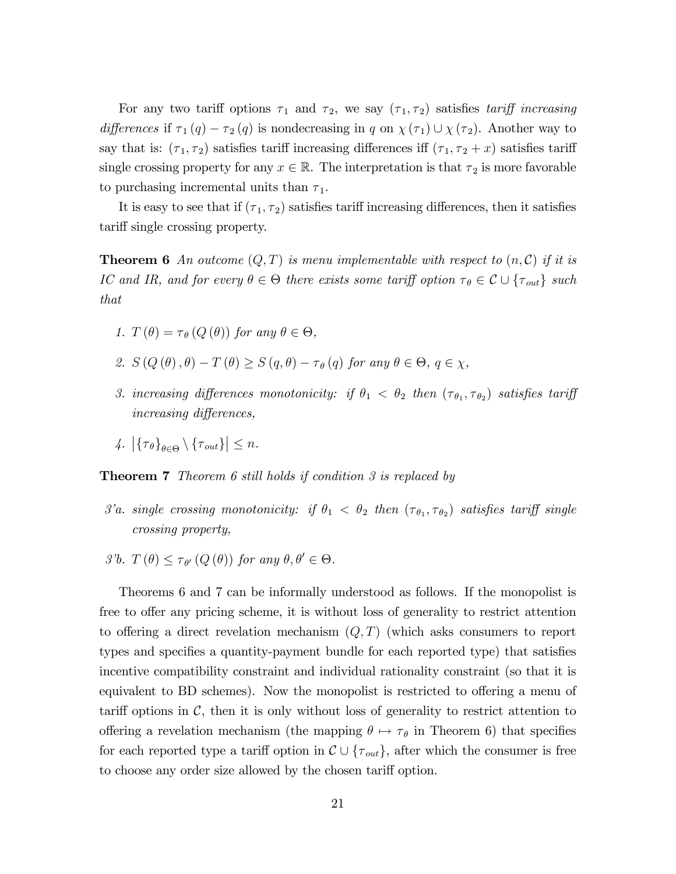For any two tariff options  $\tau_1$  and  $\tau_2$ , we say  $(\tau_1, \tau_2)$  satisfies tariff increasing differences if  $\tau_1(q) - \tau_2(q)$  is nondecreasing in q on  $\chi(\tau_1) \cup \chi(\tau_2)$ . Another way to say that is:  $(\tau_1, \tau_2)$  satisfies tariff increasing differences iff  $(\tau_1, \tau_2 + x)$  satisfies tariff single crossing property for any  $x \in \mathbb{R}$ . The interpretation is that  $\tau_2$  is more favorable to purchasing incremental units than  $\tau_1$ .

It is easy to see that if  $(\tau_1, \tau_2)$  satisfies tariff increasing differences, then it satisfies tariff single crossing property.

**Theorem 6** An outcome  $(Q, T)$  is menu implementable with respect to  $(n, C)$  if it is IC and IR, and for every  $\theta \in \Theta$  there exists some tariff option  $\tau_{\theta} \in \mathcal{C} \cup \{\tau_{out}\}$  such that

- 1.  $T(\theta) = \tau_{\theta}(Q(\theta))$  for any  $\theta \in \Theta$ ,
- 2.  $S(Q(\theta), \theta) T(\theta) \ge S(q, \theta) \tau_{\theta}(q)$  for any  $\theta \in \Theta, q \in \chi$ ,
- 3. increasing differences monotonicity: if  $\theta_1 < \theta_2$  then  $(\tau_{\theta_1}, \tau_{\theta_2})$  satisfies tarify increasing differences.
- 4.  $|\{\tau_{\theta}\}_{{\theta\in\Theta}}\setminus{\{\tau_{out}\}}| \leq n.$

**Theorem 7** Theorem 6 still holds if condition 3 is replaced by

- 3'a. single crossing monotonicity: if  $\theta_1 < \theta_2$  then  $(\tau_{\theta_1}, \tau_{\theta_2})$  satisfies tariff single crossing property,
- 3'b.  $T(\theta) \leq \tau_{\theta'}(Q(\theta))$  for any  $\theta, \theta' \in \Theta$ .

Theorems 6 and 7 can be informally understood as follows. If the monopolist is free to offer any pricing scheme, it is without loss of generality to restrict attention to offering a direct revelation mechanism  $(Q, T)$  (which asks consumers to report types and specifies a quantity-payment bundle for each reported type) that satisfies incentive compatibility constraint and individual rationality constraint (so that it is equivalent to BD schemes). Now the monopolist is restricted to offering a menu of tariff options in  $\mathcal{C}$ , then it is only without loss of generality to restrict attention to offering a revelation mechanism (the mapping  $\theta \mapsto \tau_{\theta}$  in Theorem 6) that specifies for each reported type a tariff option in  $\mathcal{C} \cup \{\tau_{out}\}\$ , after which the consumer is free to choose any order size allowed by the chosen tariff option.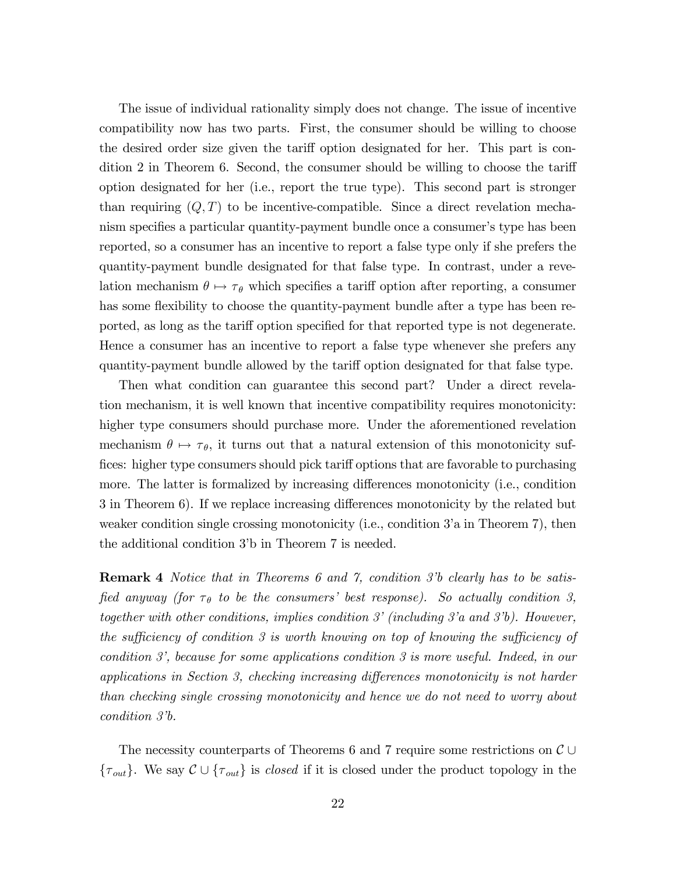The issue of individual rationality simply does not change. The issue of incentive compatibility now has two parts. First, the consumer should be willing to choose the desired order size given the tariff option designated for her. This part is condition 2 in Theorem 6. Second, the consumer should be willing to choose the tariff option designated for her (i.e., report the true type). This second part is stronger than requiring  $(Q, T)$  to be incentive-compatible. Since a direct revelation mechanism specifies a particular quantity-payment bundle once a consumer's type has been reported, so a consumer has an incentive to report a false type only if she prefers the quantity-payment bundle designated for that false type. In contrast, under a revelation mechanism  $\theta \mapsto \tau_{\theta}$  which specifies a tariff option after reporting, a consumer has some flexibility to choose the quantity-payment bundle after a type has been reported, as long as the tariff option specified for that reported type is not degenerate. Hence a consumer has an incentive to report a false type whenever she prefers any quantity-payment bundle allowed by the tariff option designated for that false type.

Then what condition can guarantee this second part? Under a direct revelation mechanism, it is well known that incentive compatibility requires monotonicity: higher type consumers should purchase more. Under the aforementioned revelation mechanism  $\theta \mapsto \tau_{\theta}$ , it turns out that a natural extension of this monotonicity suffices: higher type consumers should pick tariff options that are favorable to purchasing more. The latter is formalized by increasing differences monotonicity (i.e., condition 3 in Theorem 6). If we replace increasing differences monotonicity by the related but weaker condition single crossing monotonicity (i.e., condition 3'a in Theorem 7), then the additional condition 3íb in Theorem 7 is needed.

**Remark 4** Notice that in Theorems 6 and 7, condition 3'b clearly has to be satisfied anyway (for  $\tau_{\theta}$  to be the consumers' best response). So actually condition 3, together with other conditions, implies condition  $3'$  (including  $3'a$  and  $3'b$ ). However, the sufficiency of condition 3 is worth knowing on top of knowing the sufficiency of condition 3í, because for some applications condition 3 is more useful. Indeed, in our applications in Section 3, checking increasing differences monotonicity is not harder than checking single crossing monotonicity and hence we do not need to worry about condition  $3$ <sup>'</sup>b.

The necessity counterparts of Theorems 6 and 7 require some restrictions on  $\mathcal{C} \cup$  $\{\tau_{out}\}.$  We say  $\mathcal{C} \cup \{\tau_{out}\}\$ is closed if it is closed under the product topology in the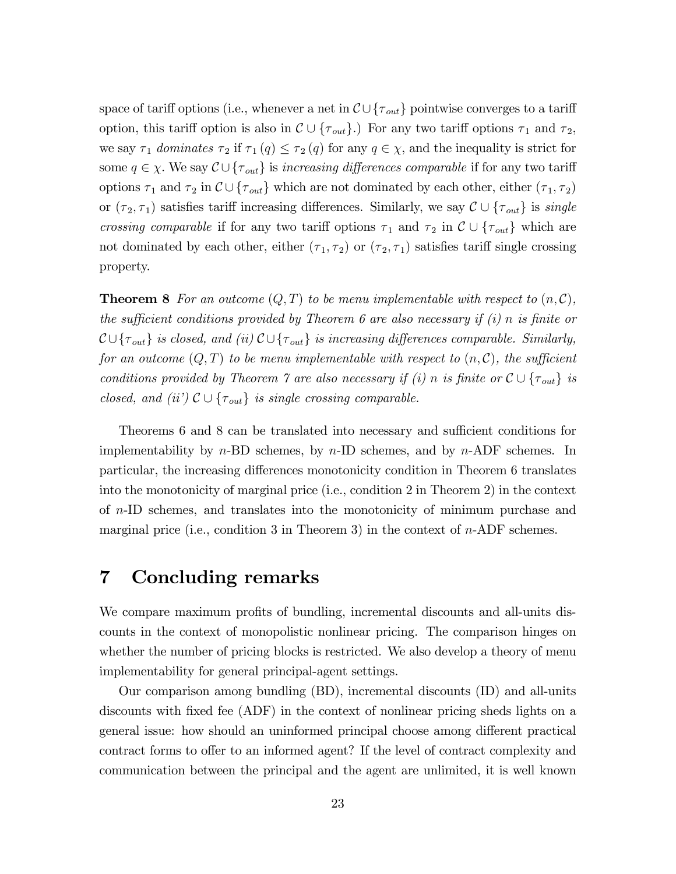space of tariff options (i.e., whenever a net in  $\mathcal{C} \cup {\tau_{out}}$ ) pointwise converges to a tariff option, this tariff option is also in  $\mathcal{C} \cup \{\tau_{out}\}.$  For any two tariff options  $\tau_1$  and  $\tau_2$ , we say  $\tau_1$  dominates  $\tau_2$  if  $\tau_1(q) \leq \tau_2(q)$  for any  $q \in \chi$ , and the inequality is strict for some  $q \in \chi$ . We say  $\mathcal{C} \cup \{\tau_{out}\}$  is increasing differences comparable if for any two tariff options  $\tau_1$  and  $\tau_2$  in  $\mathcal{C} \cup {\tau_{out}}$  which are not dominated by each other, either  $(\tau_1, \tau_2)$ or  $(\tau_2, \tau_1)$  satisfies tariff increasing differences. Similarly, we say  $\mathcal{C} \cup {\tau_{out}}$  is single crossing comparable if for any two tariff options  $\tau_1$  and  $\tau_2$  in  $\mathcal{C} \cup {\tau_{out}}$  which are not dominated by each other, either  $(\tau_1, \tau_2)$  or  $(\tau_2, \tau_1)$  satisfies tariff single crossing property.

**Theorem 8** For an outcome  $(Q, T)$  to be menu implementable with respect to  $(n, C)$ , the sufficient conditions provided by Theorem 6 are also necessary if  $(i)$  n is finite or  $\mathcal{C} \cup {\tau_{out}}$  is closed, and (ii)  $\mathcal{C} \cup {\tau_{out}}$  is increasing differences comparable. Similarly, for an outcome  $(Q, T)$  to be menu implementable with respect to  $(n, \mathcal{C})$ , the sufficient conditions provided by Theorem 7 are also necessary if (i) n is finite or  $\mathcal{C} \cup {\tau_{out}}$  is closed, and (ii')  $\mathcal{C} \cup \{\tau_{out}\}\$ is single crossing comparable.

Theorems 6 and 8 can be translated into necessary and sufficient conditions for implementability by  $n$ -BD schemes, by  $n$ -ID schemes, and by  $n$ -ADF schemes. In particular, the increasing differences monotonicity condition in Theorem 6 translates into the monotonicity of marginal price (i.e., condition 2 in Theorem 2) in the context of n-ID schemes, and translates into the monotonicity of minimum purchase and marginal price (i.e., condition 3 in Theorem 3) in the context of  $n$ -ADF schemes.

## 7 Concluding remarks

We compare maximum profits of bundling, incremental discounts and all-units discounts in the context of monopolistic nonlinear pricing. The comparison hinges on whether the number of pricing blocks is restricted. We also develop a theory of menu implementability for general principal-agent settings.

Our comparison among bundling (BD), incremental discounts (ID) and all-units discounts with fixed fee (ADF) in the context of nonlinear pricing sheds lights on a general issue: how should an uninformed principal choose among different practical contract forms to offer to an informed agent? If the level of contract complexity and communication between the principal and the agent are unlimited, it is well known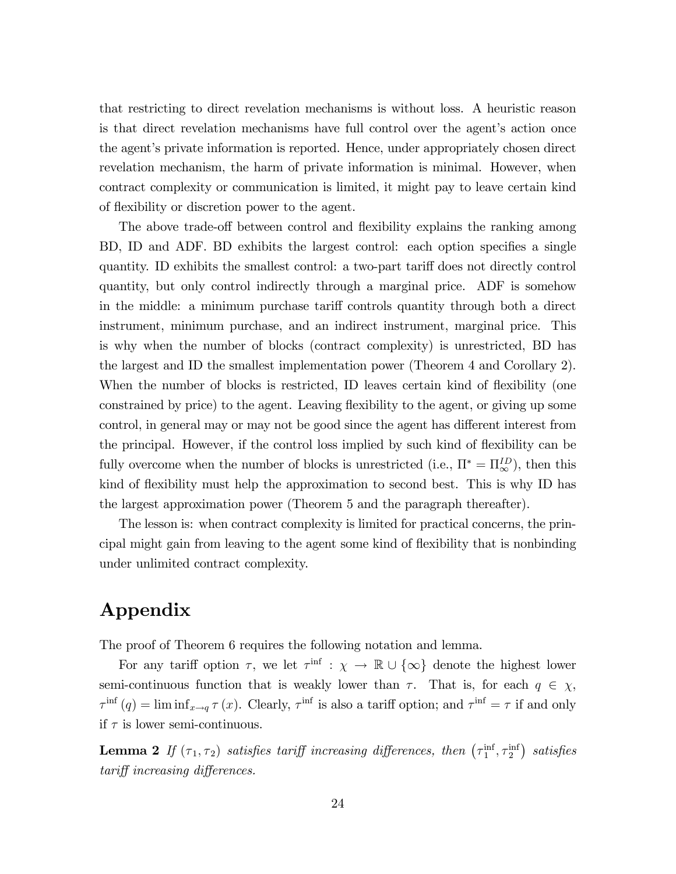that restricting to direct revelation mechanisms is without loss. A heuristic reason is that direct revelation mechanisms have full control over the agent's action once the agent's private information is reported. Hence, under appropriately chosen direct revelation mechanism, the harm of private information is minimal. However, when contract complexity or communication is limited, it might pay to leave certain kind of flexibility or discretion power to the agent.

The above trade-off between control and flexibility explains the ranking among BD, ID and ADF. BD exhibits the largest control: each option specifies a single quantity. ID exhibits the smallest control: a two-part tariff does not directly control quantity, but only control indirectly through a marginal price. ADF is somehow in the middle: a minimum purchase tariff controls quantity through both a direct instrument, minimum purchase, and an indirect instrument, marginal price. This is why when the number of blocks (contract complexity) is unrestricted, BD has the largest and ID the smallest implementation power (Theorem 4 and Corollary 2). When the number of blocks is restricted, ID leaves certain kind of flexibility (one constrained by price) to the agent. Leaving flexibility to the agent, or giving up some control, in general may or may not be good since the agent has different interest from the principal. However, if the control loss implied by such kind of flexibility can be fully overcome when the number of blocks is unrestricted (i.e.,  $\Pi^* = \Pi_{\infty}^{ID}$ ), then this kind of flexibility must help the approximation to second best. This is why ID has the largest approximation power (Theorem 5 and the paragraph thereafter).

The lesson is: when contract complexity is limited for practical concerns, the principal might gain from leaving to the agent some kind of flexibility that is nonbinding under unlimited contract complexity.

## Appendix

The proof of Theorem 6 requires the following notation and lemma.

For any tariff option  $\tau$ , we let  $\tau^{\inf}: \chi \to \mathbb{R} \cup {\infty}$  denote the highest lower semi-continuous function that is weakly lower than  $\tau$ . That is, for each  $q \in \chi$ ,  $\tau^{\inf}(q) = \liminf_{x \to q} \tau(x)$ . Clearly,  $\tau^{\inf}$  is also a tariff option; and  $\tau^{\inf} = \tau$  if and only if  $\tau$  is lower semi-continuous.

**Lemma 2** If  $(\tau_1, \tau_2)$  satisfies tariff increasing differences, then  $(\tau_1^{\text{inf}}, \tau_2^{\text{inf}})$  satisfies tariff increasing differences.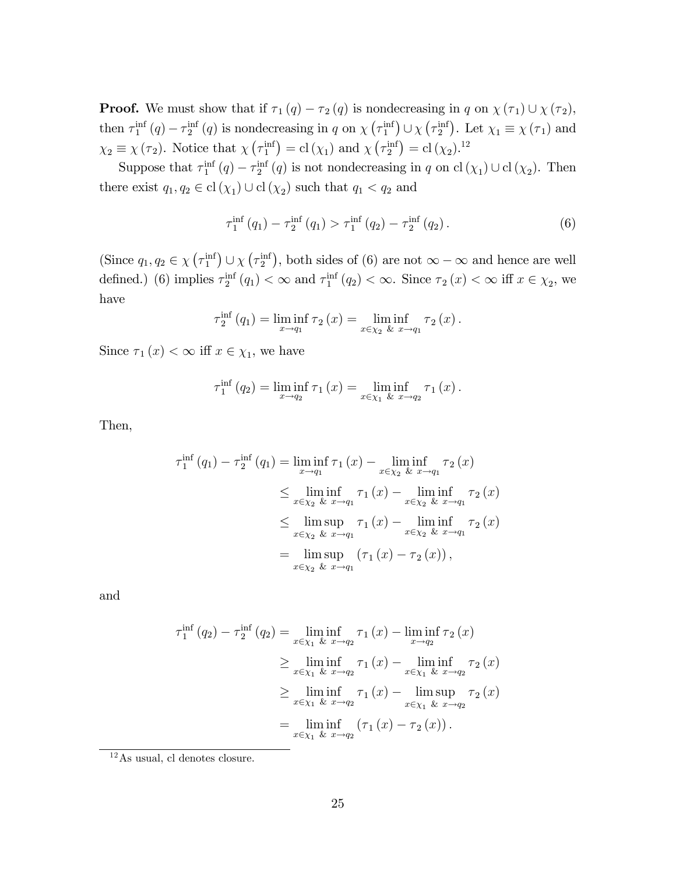**Proof.** We must show that if  $\tau_1(q) - \tau_2(q)$  is nondecreasing in q on  $\chi(\tau_1) \cup \chi(\tau_2)$ , then  $\tau_1^{\text{inf}}(q) - \tau_2^{\text{inf}}(q)$  is nondecreasing in q on  $\chi(\tau_1^{\text{inf}}) \cup \chi(\tau_2^{\text{inf}})$ . Let  $\chi_1 \equiv \chi(\tau_1)$  and  $\chi_2 \equiv \chi(\tau_2)$ . Notice that  $\chi(\tau_1^{\text{inf}}) = \text{cl}(\chi_1)$  and  $\chi(\tau_2^{\text{inf}}) = \text{cl}(\chi_2)$ .<sup>12</sup>

Suppose that  $\tau_1^{\text{inf}}(q) - \tau_2^{\text{inf}}(q)$  is not nondecreasing in q on cl  $(\chi_1) \cup$  cl  $(\chi_2)$ . Then there exist  $q_1, q_2 \in \text{cl}(\chi_1) \cup \text{cl}(\chi_2)$  such that  $q_1 < q_2$  and

$$
\tau_1^{\text{inf}}(q_1) - \tau_2^{\text{inf}}(q_1) > \tau_1^{\text{inf}}(q_2) - \tau_2^{\text{inf}}(q_2).
$$
 (6)

(Since  $q_1, q_2 \in \chi(\tau_1^{\text{inf}}) \cup \chi(\tau_2^{\text{inf}})$ , both sides of (6) are not  $\infty - \infty$  and hence are well defined.) (6) implies  $\tau_2^{\text{inf}}(q_1) < \infty$  and  $\tau_1^{\text{inf}}(q_2) < \infty$ . Since  $\tau_2(x) < \infty$  iff  $x \in \chi_2$ , we have

$$
\tau_2^{\text{inf}}(q_1) = \liminf_{x \to q_1} \tau_2(x) = \liminf_{x \in \chi_2} \inf_{\& x \to q_1} \tau_2(x).
$$

Since  $\tau_1(x) < \infty$  iff  $x \in \chi_1$ , we have

$$
\tau_1^{\text{inf}}(q_2) = \liminf_{x \to q_2} \tau_1(x) = \liminf_{x \in \chi_1} \inf_{\& x \to q_2} \tau_1(x).
$$

Then,

$$
\tau_1^{\text{inf}}(q_1) - \tau_2^{\text{inf}}(q_1) = \liminf_{x \to q_1} \tau_1(x) - \liminf_{x \in \chi_2} \tau_2(x)
$$
  
\n
$$
\leq \liminf_{x \in \chi_2} \inf_{\& x \to q_1} \tau_1(x) - \liminf_{x \in \chi_2} \tau_2(x)
$$
  
\n
$$
\leq \limsup_{x \in \chi_2} \tau_1(x) - \liminf_{x \in \chi_2} \tau_2(x)
$$
  
\n
$$
= \limsup_{x \in \chi_2} (\tau_1(x) - \tau_2(x)),
$$
  
\n
$$
= \limsup_{x \in \chi_2} (\tau_1(x) - \tau_2(x)),
$$

and

$$
\tau_1^{\text{inf}}(q_2) - \tau_2^{\text{inf}}(q_2) = \liminf_{x \in \chi_1} \inf_{\xi \to q_2} \tau_1(x) - \liminf_{x \to q_2} \tau_2(x)
$$
  
\n
$$
\geq \liminf_{x \in \chi_1} \inf_{\xi \to q_2} \tau_1(x) - \liminf_{x \in \chi_1} \inf_{\xi \to q_2} \tau_2(x)
$$
  
\n
$$
\geq \liminf_{x \in \chi_1} \inf_{\xi \to q_2} \tau_1(x) - \limsup_{x \in \chi_1} \sup_{\xi \to q_2} \tau_2(x)
$$
  
\n
$$
= \liminf_{x \in \chi_1} \inf_{\xi \to q_2} (\tau_1(x) - \tau_2(x)).
$$

 $^{12}\mathrm{As}$  usual, cl denotes closure.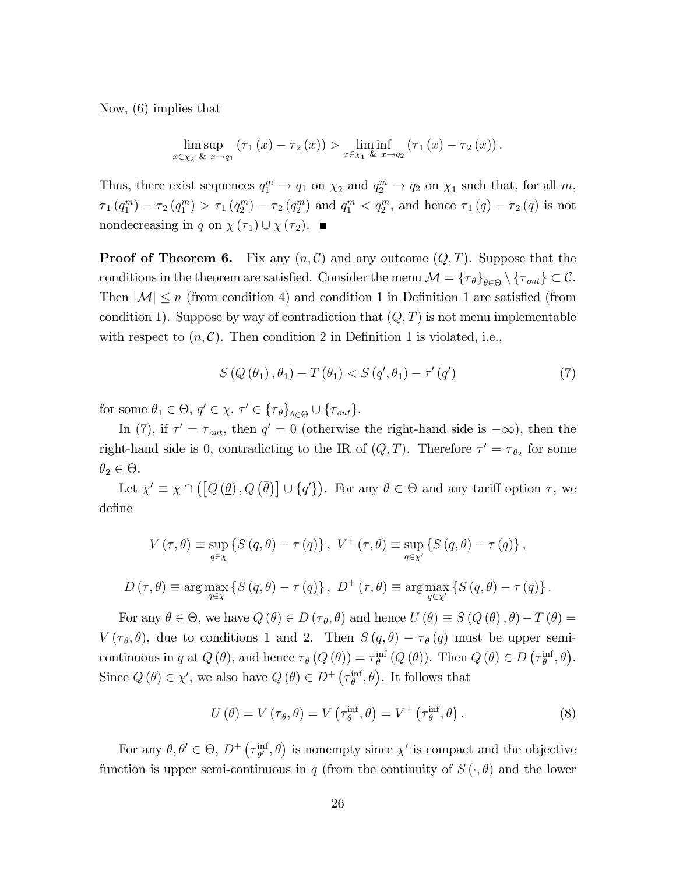Now, (6) implies that

$$
\limsup_{x \in \chi_2} (\tau_1(x) - \tau_2(x)) > \liminf_{x \in \chi_1} (\tau_1(x) - \tau_2(x)).
$$

Thus, there exist sequences  $q_1^m \to q_1$  on  $\chi_2$  and  $q_2^m \to q_2$  on  $\chi_1$  such that, for all  $m$ ,  $\tau_1(q_1^m) - \tau_2(q_1^m) > \tau_1(q_2^m) - \tau_2(q_2^m)$  and  $q_1^m < q_2^m$ , and hence  $\tau_1(q) - \tau_2(q)$  is not nondecreasing in q on  $\chi(\tau_1) \cup \chi(\tau_2)$ .

**Proof of Theorem 6.** Fix any  $(n, \mathcal{C})$  and any outcome  $(Q, T)$ . Suppose that the conditions in the theorem are satisfied. Consider the menu  $\mathcal{M} = {\{\tau_{\theta}\}}_{\theta \in \Theta} \setminus {\{\tau_{out}\}} \subset \mathcal{C}$ . Then  $|\mathcal{M}| \leq n$  (from condition 4) and condition 1 in Definition 1 are satisfied (from condition 1). Suppose by way of contradiction that  $(Q, T)$  is not menu implementable with respect to  $(n, \mathcal{C})$ . Then condition 2 in Definition 1 is violated, i.e.,

$$
S(Q(\theta_1), \theta_1) - T(\theta_1) < S(q', \theta_1) - \tau'(q') \tag{7}
$$

for some  $\theta_1 \in \Theta$ ,  $q' \in \chi$ ,  $\tau' \in {\{\tau_{\theta}\}}_{\theta \in \Theta} \cup {\{\tau_{out}\}}$ .

In (7), if  $\tau' = \tau_{out}$ , then  $q' = 0$  (otherwise the right-hand side is  $-\infty$ ), then the right-hand side is 0, contradicting to the IR of  $(Q, T)$ . Therefore  $\tau' = \tau_{\theta_2}$  for some  $\theta_2 \in \Theta.$ 

Let  $\chi' \equiv \chi \cap ([Q(\underline{\theta}), Q(\overline{\theta})] \cup \{q'\})$ . For any  $\theta \in \Theta$  and any tariff option  $\tau$ , we deÖne

$$
V(\tau, \theta) \equiv \sup_{q \in \chi} \left\{ S(q, \theta) - \tau(q) \right\}, \quad V^+(\tau, \theta) \equiv \sup_{q \in \chi'} \left\{ S(q, \theta) - \tau(q) \right\},
$$
  

$$
D(\tau, \theta) \equiv \arg \max_{q \in \chi} \left\{ S(q, \theta) - \tau(q) \right\}, \quad D^+(\tau, \theta) \equiv \arg \max_{q \in \chi'} \left\{ S(q, \theta) - \tau(q) \right\}.
$$

For any  $\theta \in \Theta$ , we have  $Q(\theta) \in D(\tau_{\theta}, \theta)$  and hence  $U(\theta) \equiv S(Q(\theta), \theta) - T(\theta) =$  $V(\tau_{\theta}, \theta)$ , due to conditions 1 and 2. Then  $S(q, \theta) - \tau_{\theta}(q)$  must be upper semicontinuous in q at  $Q(\theta)$ , and hence  $\tau_{\theta}(Q(\theta)) = \tau_{\theta}^{\inf}(Q(\theta))$ . Then  $Q(\theta) \in D(\tau_{\theta}^{\inf}, \theta)$ . Since  $Q(\theta) \in \chi'$ , we also have  $Q(\theta) \in D^+(\tau_{\theta}^{\inf}, \theta)$ . It follows that

$$
U(\theta) = V(\tau_{\theta}, \theta) = V(\tau_{\theta}^{\inf}, \theta) = V^{+}(\tau_{\theta}^{\inf}, \theta).
$$
 (8)

For any  $\theta, \theta' \in \Theta$ ,  $D^+$  ( $\tau_{\theta'}^{\text{inf}}$  $\lim_{\theta'} \theta$  is nonempty since  $\chi'$  is compact and the objective function is upper semi-continuous in q (from the continuity of  $S(\cdot, \theta)$ ) and the lower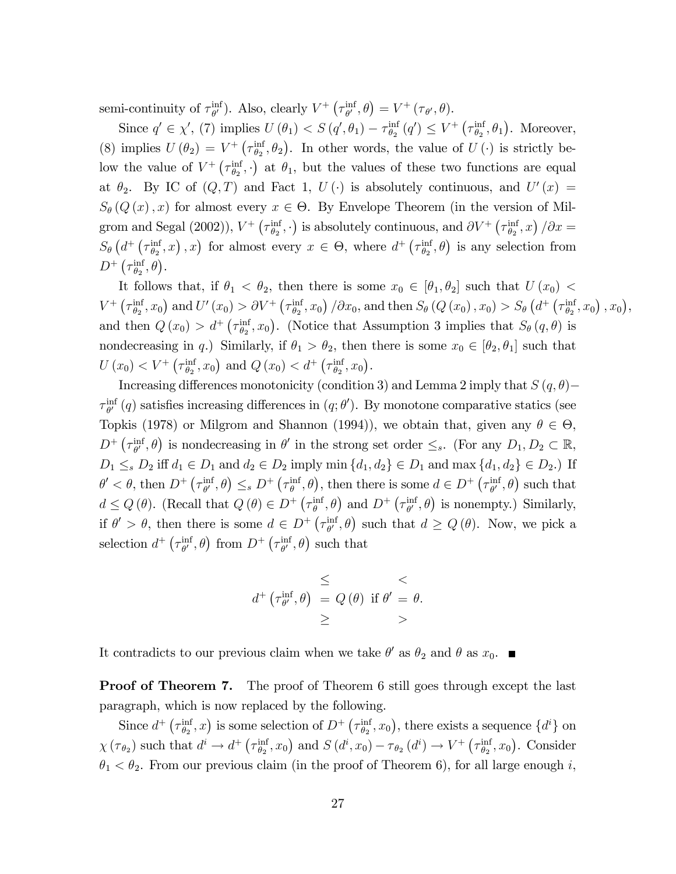semi-continuity of  $\tau_{\theta'}^{\text{inf}}$  $_{\theta'}^{\text{inf}}$ ). Also, clearly  $V^+$  ( $\tau_{\theta'}^{\text{inf}}$  $_{\theta'}^{\text{inf}}, \theta$  =  $V^+$  ( $\tau_{\theta'}, \theta$ ).

Since  $q' \in \chi'$ , (7) implies  $U(\theta_1) < S(q', \theta_1) - \tau_{\theta_2}^{\text{inf}}(q') \leq V^+\left(\tau_{\theta_2}^{\text{inf}}, \theta_1\right)$ . Moreover, (8) implies  $U(\theta_2) = V^+ \left( \tau_{\theta_2}^{\text{inf}}, \theta_2 \right)$ . In other words, the value of  $U(\cdot)$  is strictly below the value of  $V^+\left(\tau_{\theta_2}^{\text{inf}},\cdot\right)$  at  $\theta_1$ , but the values of these two functions are equal at  $\theta_2$ . By IC of  $(Q, T)$  and Fact 1,  $U(\cdot)$  is absolutely continuous, and  $U'(x) =$  $S_{\theta}(Q(x),x)$  for almost every  $x \in \Theta$ . By Envelope Theorem (in the version of Milgrom and Segal (2002)),  $V^+$  ( $\tau_{\theta_2}^{\text{inf}}, \cdot$ ) is absolutely continuous, and  $\partial V^+$  ( $\tau_{\theta_2}^{\text{inf}}, x$ ) / $\partial x =$  $S_{\theta}\left(d^+\left(\tau_{\theta_2}^{\inf},x\right),x\right)$  for almost every  $x \in \Theta$ , where  $d^+\left(\tau_{\theta_2}^{\inf},\theta\right)$  is any selection from  $D^+\left(\tau^{\text{inf}}_{\theta_2},\theta\right)$ .

It follows that, if  $\theta_1 < \theta_2$ , then there is some  $x_0 \in [\theta_1, \theta_2]$  such that  $U(x_0)$  $V^+\left(\tau_{\theta_2}^{\text{inf}},x_0\right)$  and  $U'(x_0) > \partial V^+\left(\tau_{\theta_2}^{\text{inf}},x_0\right)/\partial x_0$ , and then  $S_\theta\left(Q\left(x_0\right),x_0\right) > S_\theta\left(d^+\left(\tau_{\theta_2}^{\text{inf}},x_0\right),x_0\right)$ , and then  $Q(x_0) > d^+(\tau_{\theta_2}^{\text{inf}}, x_0)$ . (Notice that Assumption 3 implies that  $S_{\theta}(q, \theta)$  is nondecreasing in q.) Similarly, if  $\theta_1 > \theta_2$ , then there is some  $x_0 \in [\theta_2, \theta_1]$  such that  $U(x_0) < V^+$  ( $\tau_{\theta_2}^{\text{inf}}, x_0$ ) and  $Q(x_0) < d^+$  ( $\tau_{\theta_2}^{\text{inf}}, x_0$ ).

Increasing differences monotonicity (condition 3) and Lemma 2 imply that  $S(q, \theta)$  $\tau_{\theta'}^{\rm inf}$  $\int_{\theta'}^{\text{inf}}(q)$  satisfies increasing differences in  $(q; \theta')$ . By monotone comparative statics (see Topkis (1978) or Milgrom and Shannon (1994)), we obtain that, given any  $\theta \in \Theta$ ,  $D^+\left(\tau_{\theta'}^{\rm inf}\right)$  $\lim_{\theta'}$ ,  $\theta$ ) is nondecreasing in  $\theta'$  in the strong set order  $\leq_s$ . (For any  $D_1, D_2 \subset \mathbb{R}$ ,  $D_1 \leq_s D_2$  iff  $d_1 \in D_1$  and  $d_2 \in D_2$  imply  $\min\{d_1, d_2\} \in D_1$  and  $\max\{d_1, d_2\} \in D_2$ .) If  $\theta' < \theta$ , then  $D^+\left(\tau_{\theta'}^{\text{inf}}\right)$  $\lim_{\theta'} \theta$ ,  $\theta$ )  $\leq_s D^+$  ( $\tau_{\theta}^{\text{inf}}, \theta$ ), then there is some  $d \in D^+$  ( $\tau_{\theta'}^{\text{inf}}$ )  $_{\theta'}^{\text{inf}}, \theta$  such that  $d \le Q(\theta)$ . (Recall that  $Q(\theta) \in D^+\left(\tau_{\theta}^{\inf}, \theta\right)$  and  $D^+\left(\tau_{\theta'}^{\inf} \right)$  $_{\theta'}^{\text{inf}}, \theta$  is nonempty.) Similarly, if  $\theta' > \theta$ , then there is some  $d \in D^+$  ( $\tau_{\theta'}^{\text{inf}}$ )  $\lim_{\theta'} \theta$  such that  $d \ge Q(\theta)$ . Now, we pick a selection  $d^+\left(\tau_{\theta'}^{\text{inf}}\right)$  $\int_{\theta'}^{\inf}$ ,  $\theta$ ) from  $D^+$  ( $\tau_{\theta'}^{\inf}$  $_{\theta'}^{\text{inf}}, \theta$  such that

$$
d^+\left(\tau_{\theta'}^{\inf},\theta\right) \leq Q(\theta) \text{ if } \theta' = \theta.
$$
  

$$
\geq \qquad \qquad \geq
$$

It contradicts to our previous claim when we take  $\theta'$  as  $\theta_2$  and  $\theta$  as  $x_0$ .

**Proof of Theorem 7.** The proof of Theorem 6 still goes through except the last paragraph, which is now replaced by the following.

Since  $d^+$  ( $\tau_{\theta_2}^{\text{inf}}, x$ ) is some selection of  $D^+$  ( $\tau_{\theta_2}^{\text{inf}}, x_0$ ), there exists a sequence  $\{d^i\}$  on  $\chi(\tau_{\theta_2})$  such that  $d^i \to d^+$   $(\tau_{\theta_2}^{\text{inf}}, x_0)$  and  $S(d^i, x_0) - \tau_{\theta_2}(d^i) \to V^+$   $(\tau_{\theta_2}^{\text{inf}}, x_0)$ . Consider  $\theta_1 < \theta_2$ . From our previous claim (in the proof of Theorem 6), for all large enough i,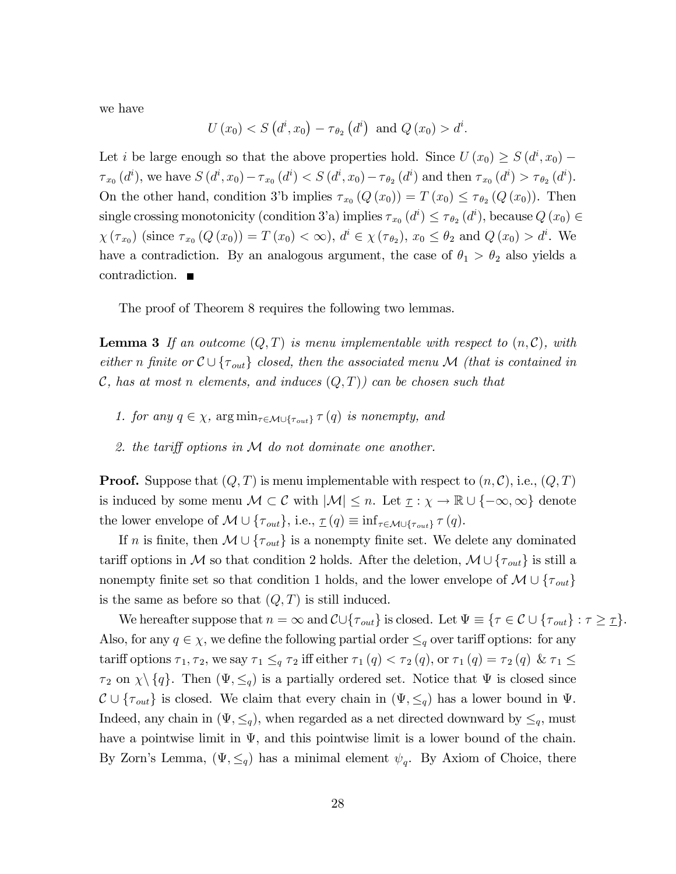we have

$$
U(x_0) < S(d^i, x_0) - \tau_{\theta_2}(d^i)
$$
 and  $Q(x_0) > d^i$ .

Let *i* be large enough so that the above properties hold. Since  $U(x_0) \ge S(d^i, x_0)$  –  $\tau_{x_0}(d^i)$ , we have  $S(d^i, x_0) - \tau_{x_0}(d^i) < S(d^i, x_0) - \tau_{\theta_2}(d^i)$  and then  $\tau_{x_0}(d^i) > \tau_{\theta_2}(d^i)$ . On the other hand, condition 3'b implies  $\tau_{x_0}(Q(x_0)) = T(x_0) \leq \tau_{\theta_2}(Q(x_0))$ . Then single crossing monotonicity (condition 3'a) implies  $\tau_{x_0}(d^i) \leq \tau_{\theta_2}(d^i)$ , because  $Q(x_0) \in$  $\chi(\tau_{x_0})$  (since  $\tau_{x_0}(Q(x_0)) = T(x_0) < \infty$ ),  $d^i \in \chi(\tau_{\theta_2})$ ,  $x_0 \le \theta_2$  and  $Q(x_0) > d^i$ . We have a contradiction. By an analogous argument, the case of  $\theta_1 > \theta_2$  also yields a contradiction.

The proof of Theorem 8 requires the following two lemmas.

**Lemma 3** If an outcome  $(Q, T)$  is menu implementable with respect to  $(n, C)$ , with either n finite or  $\mathcal{C} \cup \{\tau_{out}\}$  closed, then the associated menu M (that is contained in  $\mathcal{C},$  has at most n elements, and induces  $(Q,T)$  can be chosen such that

- 1. for any  $q \in \chi$ ,  $\arg \min_{\tau \in \mathcal{M} \cup \{\tau_{out}\}} \tau(q)$  is nonempty, and
- 2. the tariff options in  $M$  do not dominate one another.

**Proof.** Suppose that  $(Q, T)$  is menu implementable with respect to  $(n, \mathcal{C})$ , i.e.,  $(Q, T)$ is induced by some menu  $M \subset \mathcal{C}$  with  $|M| \leq n$ . Let  $\underline{\tau} : \chi \to \mathbb{R} \cup \{-\infty, \infty\}$  denote the lower envelope of  $\mathcal{M} \cup \{\tau_{out}\}, i.e., \underline{\tau}(q) \equiv \inf_{\tau \in \mathcal{M} \cup \{\tau_{out}\}} \tau(q).$ 

If n is finite, then  $\mathcal{M} \cup \{\tau_{\mathit{out}}\}$  is a nonempty finite set. We delete any dominated tariff options in M so that condition 2 holds. After the deletion,  $\mathcal{M} \cup \{\tau_{out}\}\$ is still a nonempty finite set so that condition 1 holds, and the lower envelope of  $M \cup \{\tau_{out}\}\$ is the same as before so that  $(Q, T)$  is still induced.

We hereafter suppose that  $n = \infty$  and  $\mathcal{C} \cup {\tau_{out}}$  is closed. Let  $\Psi \equiv {\tau \in \mathcal{C} \cup {\tau_{out}}} : \tau \geq \tau}.$ Also, for any  $q \in \chi$ , we define the following partial order  $\leq_q$  over tariff options: for any tariff options  $\tau_1, \tau_2$ , we say  $\tau_1 \leq_q \tau_2$  iff either  $\tau_1(q) < \tau_2(q)$ , or  $\tau_1(q) = \tau_2(q)$  &  $\tau_1 \leq$  $\tau_2$  on  $\chi \setminus \{q\}$ . Then  $(\Psi, \leq_q)$  is a partially ordered set. Notice that  $\Psi$  is closed since  $\mathcal{C} \cup \{\tau_{out}\}\$ is closed. We claim that every chain in  $(\Psi, \leq_q)$  has a lower bound in  $\Psi$ . Indeed, any chain in  $(\Psi, \leq_q)$ , when regarded as a net directed downward by  $\leq_q$ , must have a pointwise limit in  $\Psi$ , and this pointwise limit is a lower bound of the chain. By Zorn's Lemma,  $(\Psi, \leq_q)$  has a minimal element  $\psi_q$ . By Axiom of Choice, there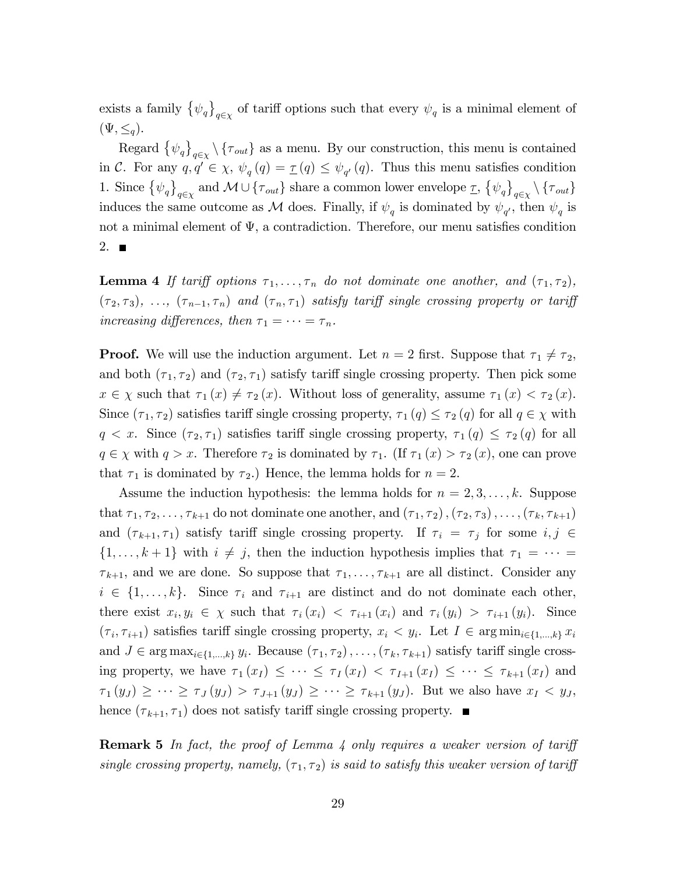exists a family  $\{\psi_q\}$  $_{q\in\chi}$  of tariff options such that every  $\psi_q$  is a minimal element of  $(\Psi, \leq_q).$ 

Regard  $\{\psi_q\}$  $q \in \chi \setminus {\{\tau_{out}\}}$  as a menu. By our construction, this menu is contained in C. For any  $q, q' \in \chi$ ,  $\psi_q(q) = \underline{\tau}(q) \leq \psi_{q'}(q)$ . Thus this menu satisfies condition 1. Since  $\{\psi_q\}$  $_{q\in\chi}$  and  $\mathcal{M} \cup {\tau_{out}}$  share a common lower envelope  $\underline{\tau}$ ,  $\{\psi_{q}\}$  $_{q\in\chi}\setminus\{\tau_{\mathit{out}}\}$ induces the same outcome as M does. Finally, if  $\psi_q$  is dominated by  $\psi_{q'}$ , then  $\psi_q$  is not a minimal element of  $\Psi$ , a contradiction. Therefore, our menu satisfies condition  $2.$   $\blacksquare$ 

**Lemma 4** If tariff options  $\tau_1, \ldots, \tau_n$  do not dominate one another, and  $(\tau_1, \tau_2)$ ,  $(\tau_2, \tau_3), \ldots, (\tau_{n-1}, \tau_n)$  and  $(\tau_n, \tau_1)$  satisfy tariff single crossing property or tariff increasing differences, then  $\tau_1 = \cdots = \tau_n$ .

**Proof.** We will use the induction argument. Let  $n = 2$  first. Suppose that  $\tau_1 \neq \tau_2$ , and both  $(\tau_1, \tau_2)$  and  $(\tau_2, \tau_1)$  satisfy tariff single crossing property. Then pick some  $x \in \chi$  such that  $\tau_1 (x) \neq \tau_2 (x)$ . Without loss of generality, assume  $\tau_1 (x) < \tau_2 (x)$ . Since  $(\tau_1, \tau_2)$  satisfies tariff single crossing property,  $\tau_1(q) \leq \tau_2(q)$  for all  $q \in \chi$  with  $q < x$ . Since  $(\tau_2, \tau_1)$  satisfies tariff single crossing property,  $\tau_1(q) \leq \tau_2(q)$  for all  $q \in \chi$  with  $q > x$ . Therefore  $\tau_2$  is dominated by  $\tau_1$ . (If  $\tau_1(x) > \tau_2(x)$ , one can prove that  $\tau_1$  is dominated by  $\tau_2$ .) Hence, the lemma holds for  $n = 2$ .

Assume the induction hypothesis: the lemma holds for  $n = 2, 3, \ldots, k$ . Suppose that  $\tau_1, \tau_2, \ldots, \tau_{k+1}$  do not dominate one another, and  $(\tau_1, \tau_2), (\tau_2, \tau_3), \ldots, (\tau_k, \tau_{k+1})$ and  $(\tau_{k+1}, \tau_1)$  satisfy tariff single crossing property. If  $\tau_i = \tau_j$  for some  $i, j \in$  $\{1,\ldots,k+1\}$  with  $i \neq j$ , then the induction hypothesis implies that  $\tau_1 = \cdots =$  $\tau_{k+1}$ , and we are done. So suppose that  $\tau_1, \ldots, \tau_{k+1}$  are all distinct. Consider any  $i \in \{1, \ldots, k\}$ . Since  $\tau_i$  and  $\tau_{i+1}$  are distinct and do not dominate each other, there exist  $x_i, y_i \in \chi$  such that  $\tau_i(x_i) < \tau_{i+1}(x_i)$  and  $\tau_i(y_i) > \tau_{i+1}(y_i)$ . Since  $(\tau_i, \tau_{i+1})$  satisfies tariff single crossing property,  $x_i \lt y_i$ . Let  $I \in \arg \min_{i \in \{1, ..., k\}} x_i$ and  $J \in \arg \max_{i \in \{1,\ldots,k\}} y_i$ . Because  $(\tau_1, \tau_2), \ldots, (\tau_k, \tau_{k+1})$  satisfy tariff single crossing property, we have  $\tau_1(x_I) \leq \cdots \leq \tau_I(x_I) < \tau_{I+1}(x_I) \leq \cdots \leq \tau_{k+1}(x_I)$  and  $\tau_1(y_J) \geq \cdots \geq \tau_J(y_J) > \tau_{J+1}(y_J) \geq \cdots \geq \tau_{k+1}(y_J)$ . But we also have  $x_I < y_J$ , hence  $(\tau_{k+1}, \tau_1)$  does not satisfy tariff single crossing property.  $\blacksquare$ 

**Remark 5** In fact, the proof of Lemma  $\downarrow$  only requires a weaker version of tariff single crossing property, namely,  $(\tau_1, \tau_2)$  is said to satisfy this weaker version of tariff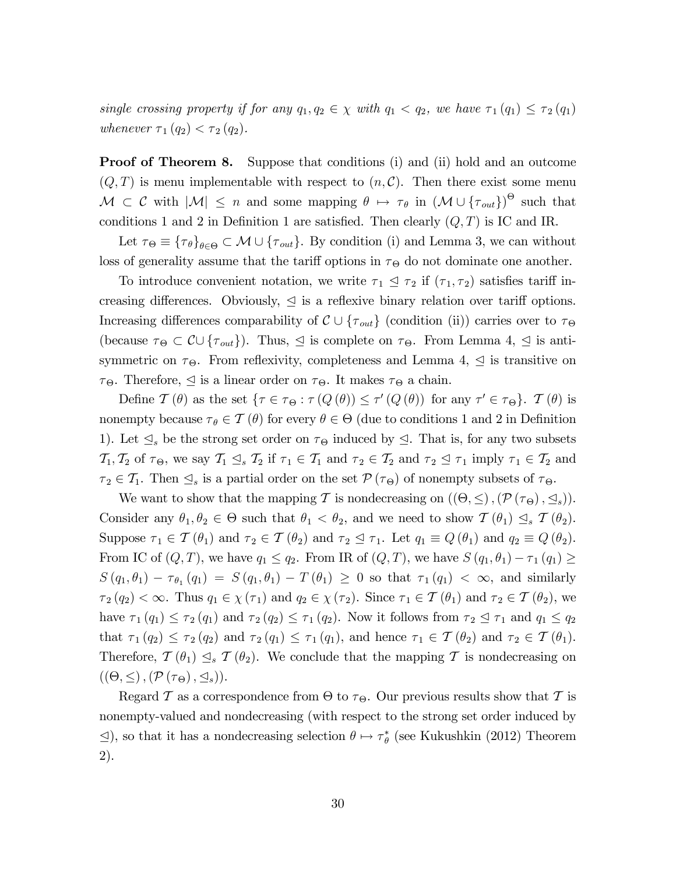single crossing property if for any  $q_1, q_2 \in \chi$  with  $q_1 < q_2$ , we have  $\tau_1(q_1) \leq \tau_2(q_1)$ whenever  $\tau_1(q_2) < \tau_2(q_2)$ .

**Proof of Theorem 8.** Suppose that conditions (i) and (ii) hold and an outcome  $(Q, T)$  is menu implementable with respect to  $(n, C)$ . Then there exist some menu  $M \subset \mathcal{C}$  with  $|\mathcal{M}| \leq n$  and some mapping  $\theta \mapsto \tau_{\theta}$  in  $(\mathcal{M} \cup {\tau_{out}})^{\Theta}$  such that conditions 1 and 2 in Definition 1 are satisfied. Then clearly  $(Q, T)$  is IC and IR.

Let  $\tau_{\Theta} \equiv {\{\tau_{\theta}\}}_{\theta \in \Theta} \subset \mathcal{M} \cup {\{\tau_{out}\}}$ . By condition (i) and Lemma 3, we can without loss of generality assume that the tariff options in  $\tau_{\Theta}$  do not dominate one another.

To introduce convenient notation, we write  $\tau_1 \leq \tau_2$  if  $(\tau_1, \tau_2)$  satisfies tariff increasing differences. Obviously,  $\leq$  is a reflexive binary relation over tariff options. Increasing differences comparability of  $C \cup \{\tau_{out}\}$  (condition (ii)) carries over to  $\tau_{\Theta}$ (because  $\tau_{\Theta} \subset \mathcal{C} \cup {\{\tau_{out}\}}$ ). Thus,  $\trianglelefteq$  is complete on  $\tau_{\Theta}$ . From Lemma 4,  $\trianglelefteq$  is antisymmetric on  $\tau_{\Theta}$ . From reflexivity, completeness and Lemma 4,  $\leq$  is transitive on  $\tau_{\Theta}$ . Therefore,  $\leq$  is a linear order on  $\tau_{\Theta}$ . It makes  $\tau_{\Theta}$  a chain.

Define  $\mathcal{T}(\theta)$  as the set  $\{\tau \in \tau_{\Theta} : \tau(Q(\theta)) \leq \tau'(Q(\theta)) \text{ for any } \tau' \in \tau_{\Theta}\}.$   $\mathcal{T}(\theta)$  is nonempty because  $\tau_{\theta} \in \mathcal{T}(\theta)$  for every  $\theta \in \Theta$  (due to conditions 1 and 2 in Definition 1). Let  $\leq_s$  be the strong set order on  $\tau_{\Theta}$  induced by  $\leq$ . That is, for any two subsets  $\mathcal{T}_1, \mathcal{T}_2$  of  $\tau_{\Theta}$ , we say  $\mathcal{T}_1 \subseteq_s \mathcal{T}_2$  if  $\tau_1 \in \mathcal{T}_1$  and  $\tau_2 \in \mathcal{T}_2$  and  $\tau_2 \subseteq \tau_1$  imply  $\tau_1 \in \mathcal{T}_2$  and  $\tau_2 \in \mathcal{T}_1$ . Then  $\leq_s$  is a partial order on the set  $\mathcal{P}(\tau_{\Theta})$  of nonempty subsets of  $\tau_{\Theta}$ .

We want to show that the mapping T is nondecreasing on  $((\Theta, \leq), (\mathcal{P}(\tau_{\Theta}), \leq_s)).$ Consider any  $\theta_1, \theta_2 \in \Theta$  such that  $\theta_1 < \theta_2$ , and we need to show  $\mathcal{T}(\theta_1) \leq_s \mathcal{T}(\theta_2)$ . Suppose  $\tau_1 \in \mathcal{T}(\theta_1)$  and  $\tau_2 \in \mathcal{T}(\theta_2)$  and  $\tau_2 \leq \tau_1$ . Let  $q_1 \equiv Q(\theta_1)$  and  $q_2 \equiv Q(\theta_2)$ . From IC of  $(Q, T)$ , we have  $q_1 \leq q_2$ . From IR of  $(Q, T)$ , we have  $S(q_1, \theta_1) - \tau_1(q_1) \geq$  $S(q_1, \theta_1) - \tau_{\theta_1}(q_1) = S(q_1, \theta_1) - T(\theta_1) \ge 0$  so that  $\tau_1(q_1) < \infty$ , and similarly  $\tau_2(q_2) < \infty$ . Thus  $q_1 \in \chi(\tau_1)$  and  $q_2 \in \chi(\tau_2)$ . Since  $\tau_1 \in \mathcal{T}(\theta_1)$  and  $\tau_2 \in \mathcal{T}(\theta_2)$ , we have  $\tau_1(q_1) \leq \tau_2(q_1)$  and  $\tau_2(q_2) \leq \tau_1(q_2)$ . Now it follows from  $\tau_2 \leq \tau_1$  and  $q_1 \leq q_2$ that  $\tau_1 (q_2) \leq \tau_2 (q_2)$  and  $\tau_2 (q_1) \leq \tau_1 (q_1)$ , and hence  $\tau_1 \in \mathcal{T}(\theta_2)$  and  $\tau_2 \in \mathcal{T}(\theta_1)$ . Therefore,  $\mathcal{T}(\theta_1) \leq_s \mathcal{T}(\theta_2)$ . We conclude that the mapping  $\mathcal{T}$  is nondecreasing on  $((\Theta,\leq),(\mathcal{P}(\tau_{\Theta}),\leq_{s})).$ 

Regard  $\mathcal T$  as a correspondence from  $\Theta$  to  $\tau_{\Theta}$ . Our previous results show that  $\mathcal T$  is nonempty-valued and nondecreasing (with respect to the strong set order induced by  $\leq$ ), so that it has a nondecreasing selection  $\theta \mapsto \tau_{\theta}^*$  (see Kukushkin (2012) Theorem 2).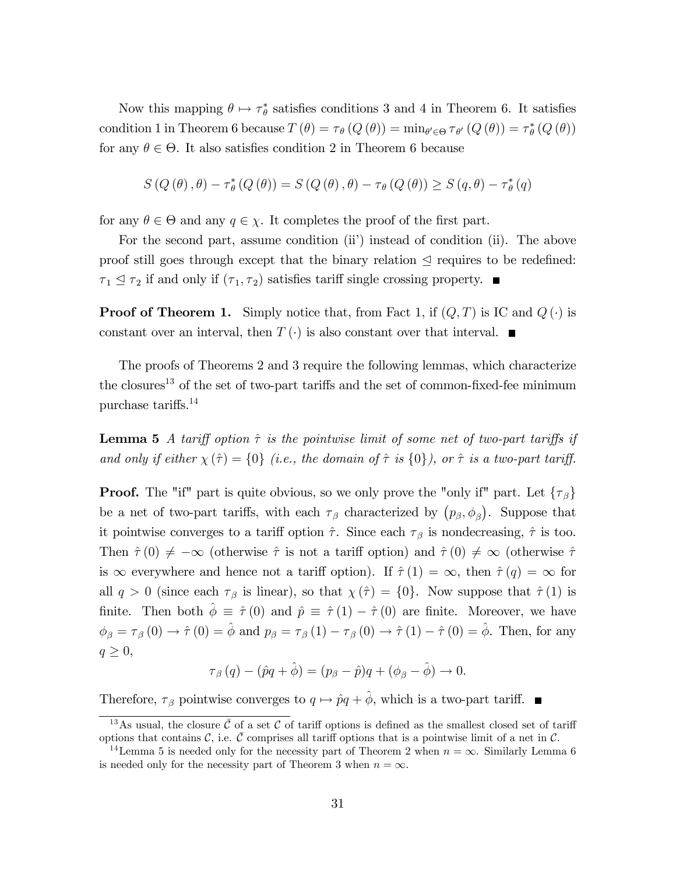Now this mapping  $\theta \mapsto \tau_{\theta}^*$  satisfies conditions 3 and 4 in Theorem 6. It satisfies condition 1 in Theorem 6 because  $T(\theta) = \tau_{\theta}(Q(\theta)) = \min_{\theta' \in \Theta} \tau_{\theta'}(Q(\theta)) = \tau_{\theta}^*(Q(\theta))$ for any  $\theta \in \Theta$ . It also satisfies condition 2 in Theorem 6 because

$$
S(Q(\theta), \theta) - \tau_{\theta}^{*}(Q(\theta)) = S(Q(\theta), \theta) - \tau_{\theta}(Q(\theta)) \ge S(q, \theta) - \tau_{\theta}^{*}(q)
$$

for any  $\theta \in \Theta$  and any  $q \in \chi$ . It completes the proof of the first part.

For the second part, assume condition (ii) instead of condition (ii). The above proof still goes through except that the binary relation  $\leq$  requires to be redefined:  $\tau_1 \leq \tau_2$  if and only if  $(\tau_1, \tau_2)$  satisfies tariff single crossing property.

**Proof of Theorem 1.** Simply notice that, from Fact 1, if  $(Q, T)$  is IC and  $Q(\cdot)$  is constant over an interval, then  $T(\cdot)$  is also constant over that interval.

The proofs of Theorems 2 and 3 require the following lemmas, which characterize the closures<sup>13</sup> of the set of two-part tariffs and the set of common-fixed-fee minimum purchase tariffs.<sup>14</sup>

**Lemma 5** A tariff option  $\hat{\tau}$  is the pointwise limit of some net of two-part tariffs if and only if either  $\chi(\hat{\tau}) = \{0\}$  (i.e., the domain of  $\hat{\tau}$  is  $\{0\}$ ), or  $\hat{\tau}$  is a two-part tariff.

**Proof.** The "if" part is quite obvious, so we only prove the "only if" part. Let  $\{\tau_{\beta}\}\$ be a net of two-part tariffs, with each  $\tau_\beta$  characterized by  $(p_\beta, \phi_\beta)$ . Suppose that it pointwise converges to a tariff option  $\hat{\tau}$ . Since each  $\tau_{\beta}$  is nondecreasing,  $\hat{\tau}$  is too. Then  $\hat{\tau}$  (0)  $\neq -\infty$  (otherwise  $\hat{\tau}$  is not a tariff option) and  $\hat{\tau}$  (0)  $\neq \infty$  (otherwise  $\hat{\tau}$ is  $\infty$  everywhere and hence not a tariff option). If  $\hat{\tau}(1) = \infty$ , then  $\hat{\tau}(q) = \infty$  for all  $q > 0$  (since each  $\tau_{\beta}$  is linear), so that  $\chi(\hat{\tau}) = \{0\}$ . Now suppose that  $\hat{\tau}(1)$  is finite. Then both  $\hat{\phi} \equiv \hat{\tau}(0)$  and  $\hat{p} \equiv \hat{\tau}(1) - \hat{\tau}(0)$  are finite. Moreover, we have  $\phi_{\beta} = \tau_{\beta}(0) \rightarrow \hat{\tau}(0) = \hat{\phi}$  and  $p_{\beta} = \tau_{\beta}(1) - \tau_{\beta}(0) \rightarrow \hat{\tau}(1) - \hat{\tau}(0) = \hat{\phi}$ . Then, for any  $q \geq 0,$ 

$$
\tau_{\beta}(q) - (\hat{p}q + \hat{\phi}) = (p_{\beta} - \hat{p})q + (\phi_{\beta} - \hat{\phi}) \to 0.
$$

Therefore,  $\tau_{\beta}$  pointwise converges to  $q \mapsto \hat{p}q + \hat{\phi}$ , which is a two-part tariff.

<sup>&</sup>lt;sup>13</sup>As usual, the closure  $\bar{\mathcal{C}}$  of a set C of tariff options is defined as the smallest closed set of tariff options that contains C, i.e.  $\bar{\mathcal{C}}$  comprises all tariff options that is a pointwise limit of a net in C.

<sup>&</sup>lt;sup>14</sup>Lemma 5 is needed only for the necessity part of Theorem 2 when  $n = \infty$ . Similarly Lemma 6. is needed only for the necessity part of Theorem 3 when  $n = \infty$ .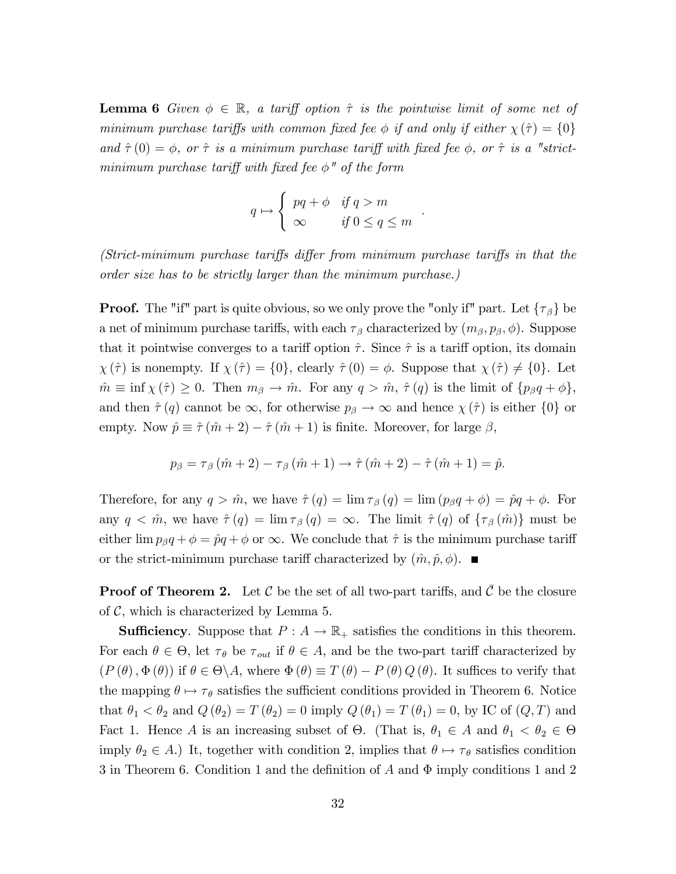**Lemma 6** Given  $\phi \in \mathbb{R}$ , a tariff option  $\hat{\tau}$  is the pointwise limit of some net of minimum purchase tariffs with common fixed fee  $\phi$  if and only if either  $\chi(\hat{\tau}) = \{0\}$ and  $\hat{\tau}$  (0) =  $\phi$ , or  $\hat{\tau}$  is a minimum purchase tariff with fixed fee  $\phi$ , or  $\hat{\tau}$  is a "strictminimum purchase tariff with fixed fee  $\phi$ " of the form

$$
q \mapsto \begin{cases} pq + \phi & \text{if } q > m \\ \infty & \text{if } 0 \le q \le m \end{cases}
$$

:

(Strict-minimum purchase tari§s di§er from minimum purchase tari§s in that the order size has to be strictly larger than the minimum purchase.)

**Proof.** The "if" part is quite obvious, so we only prove the "only if" part. Let  $\{\tau_\beta\}$  be a net of minimum purchase tariffs, with each  $\tau_\beta$  characterized by  $(m_\beta, p_\beta, \phi)$ . Suppose that it pointwise converges to a tariff option  $\hat{\tau}$ . Since  $\hat{\tau}$  is a tariff option, its domain  $\chi(\hat{\tau})$  is nonempty. If  $\chi(\hat{\tau}) = \{0\}$ , clearly  $\hat{\tau}(0) = \phi$ . Suppose that  $\chi(\hat{\tau}) \neq \{0\}$ . Let  $\hat{m} \equiv \inf \chi(\hat{\tau}) \geq 0$ . Then  $m_{\beta} \to \hat{m}$ . For any  $q > \hat{m}$ ,  $\hat{\tau}(q)$  is the limit of  $\{p_{\beta}q + \phi\}$ , and then  $\hat{\tau}(q)$  cannot be  $\infty$ , for otherwise  $p_{\beta} \to \infty$  and hence  $\chi(\hat{\tau})$  is either  $\{0\}$  or empty. Now  $\hat{p} \equiv \hat{\tau} ( \hat{m} + 2 ) - \hat{\tau} ( \hat{m} + 1 )$  is finite. Moreover, for large  $\beta$ ,

$$
p_{\beta} = \tau_{\beta}(\hat{m} + 2) - \tau_{\beta}(\hat{m} + 1) \rightarrow \hat{\tau}(\hat{m} + 2) - \hat{\tau}(\hat{m} + 1) = \hat{p}.
$$

Therefore, for any  $q > \hat{m}$ , we have  $\hat{\tau}(q) = \lim \tau_{\beta}(q) = \lim (p_{\beta}q + \phi) = \hat{p}q + \phi$ . For any  $q < \hat{m}$ , we have  $\hat{\tau}(q) = \lim \tau_\beta (q) = \infty$ . The limit  $\hat{\tau}(q)$  of  $\{\tau_\beta(\hat{m})\}$  must be either  $\lim p_{\beta} q + \phi = \hat{p}q + \phi$  or  $\infty$ . We conclude that  $\hat{\tau}$  is the minimum purchase tariff or the strict-minimum purchase tariff characterized by  $(\hat{m}, \hat{p}, \phi)$ .

**Proof of Theorem 2.** Let  $\mathcal{C}$  be the set of all two-part tariffs, and  $\overline{\mathcal{C}}$  be the closure of  $\mathcal{C}$ , which is characterized by Lemma 5.

**Sufficiency**. Suppose that  $P : A \to \mathbb{R}_+$  satisfies the conditions in this theorem. For each  $\theta \in \Theta$ , let  $\tau_{\theta}$  be  $\tau_{out}$  if  $\theta \in A$ , and be the two-part tariff characterized by  $(P(\theta), \Phi(\theta))$  if  $\theta \in \Theta \backslash A$ , where  $\Phi(\theta) \equiv T(\theta) - P(\theta) Q(\theta)$ . It suffices to verify that the mapping  $\theta \mapsto \tau_{\theta}$  satisfies the sufficient conditions provided in Theorem 6. Notice that  $\theta_1 < \theta_2$  and  $Q(\theta_2) = T(\theta_2) = 0$  imply  $Q(\theta_1) = T(\theta_1) = 0$ , by IC of  $(Q, T)$  and Fact 1. Hence A is an increasing subset of  $\Theta$ . (That is,  $\theta_1 \in A$  and  $\theta_1 < \theta_2 \in \Theta$ imply  $\theta_2 \in A$ .) It, together with condition 2, implies that  $\theta \mapsto \tau_{\theta}$  satisfies condition 3 in Theorem 6. Condition 1 and the definition of A and  $\Phi$  imply conditions 1 and 2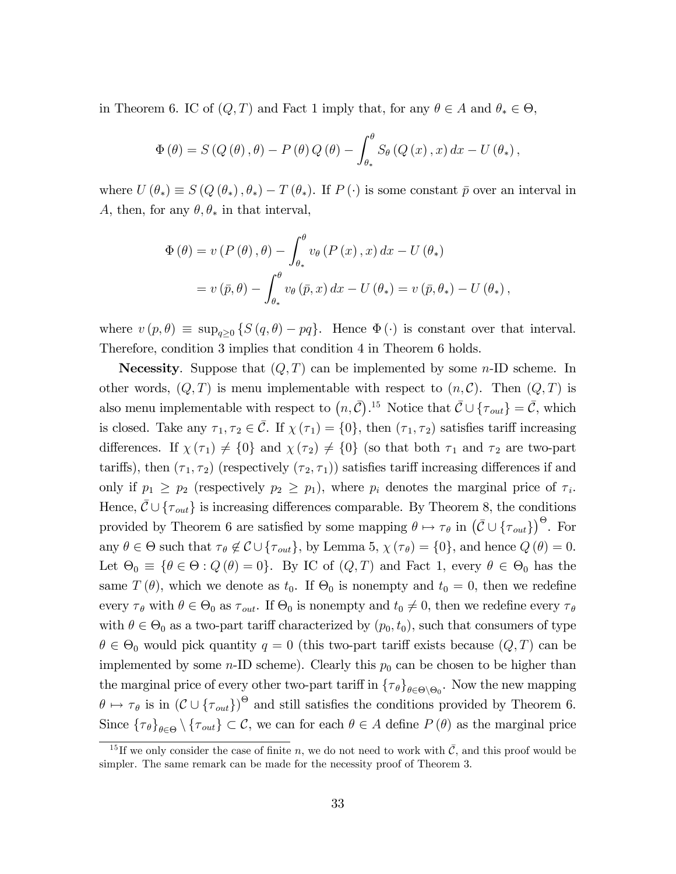in Theorem 6. IC of  $(Q, T)$  and Fact 1 imply that, for any  $\theta \in A$  and  $\theta_* \in \Theta$ ,

$$
\Phi(\theta) = S(Q(\theta), \theta) - P(\theta)Q(\theta) - \int_{\theta_*}^{\theta} S_{\theta}(Q(x), x) dx - U(\theta_*),
$$

where  $U(\theta_*) \equiv S(Q(\theta_*), \theta_*) - T(\theta_*)$ . If  $P(\cdot)$  is some constant  $\bar{p}$  over an interval in A, then, for any  $\theta$ ,  $\theta_*$  in that interval,

$$
\Phi(\theta) = v (P(\theta), \theta) - \int_{\theta_*}^{\theta} v_{\theta} (P(x), x) dx - U(\theta_*)
$$
  
=  $v (\bar{p}, \theta) - \int_{\theta_*}^{\theta} v_{\theta} (\bar{p}, x) dx - U(\theta_*) = v (\bar{p}, \theta_*) - U(\theta_*)$ ,

where  $v (p, \theta) \equiv \sup_{q\geq 0} \{S (q, \theta) - pq\}$ . Hence  $\Phi (\cdot)$  is constant over that interval. Therefore, condition 3 implies that condition 4 in Theorem 6 holds.

**Necessity.** Suppose that  $(Q, T)$  can be implemented by some *n*-ID scheme. In other words,  $(Q, T)$  is menu implementable with respect to  $(n, C)$ . Then  $(Q, T)$  is also menu implementable with respect to  $(n,\bar{C})$ .<sup>15</sup> Notice that  $\bar{C} \cup \{\tau_{out}\} = \bar{C}$ , which is closed. Take any  $\tau_1, \tau_2 \in \overline{C}$ . If  $\chi(\tau_1) = \{0\}$ , then  $(\tau_1, \tau_2)$  satisfies tariff increasing differences. If  $\chi(\tau_1) \neq \{0\}$  and  $\chi(\tau_2) \neq \{0\}$  (so that both  $\tau_1$  and  $\tau_2$  are two-part tariffs), then  $(\tau_1, \tau_2)$  (respectively  $(\tau_2, \tau_1)$ ) satisfies tariff increasing differences if and only if  $p_1 \geq p_2$  (respectively  $p_2 \geq p_1$ ), where  $p_i$  denotes the marginal price of  $\tau_i$ . Hence,  $\bar{\mathcal{C}} \cup \{\tau_{out}\}\$ is increasing differences comparable. By Theorem 8, the conditions provided by Theorem 6 are satisfied by some mapping  $\theta \mapsto \tau_{\theta}$  in  $(\bar{\mathcal{C}} \cup {\{\tau_{out}\}})^{\Theta}$ . For any  $\theta \in \Theta$  such that  $\tau_{\theta} \notin \mathcal{C} \cup {\{\tau_{out}\}}$ , by Lemma 5,  $\chi(\tau_{\theta}) = \{0\}$ , and hence  $Q(\theta) = 0$ . Let  $\Theta_0 \equiv {\theta \in \Theta : Q(\theta) = 0}$ . By IC of  $(Q, T)$  and Fact 1, every  $\theta \in \Theta_0$  has the same  $T(\theta)$ , which we denote as  $t_0$ . If  $\Theta_0$  is nonempty and  $t_0 = 0$ , then we redefine every  $\tau_{\theta}$  with  $\theta \in \Theta_0$  as  $\tau_{out}$ . If  $\Theta_0$  is nonempty and  $t_0 \neq 0$ , then we redefine every  $\tau_{\theta}$ with  $\theta \in \Theta_0$  as a two-part tariff characterized by  $(p_0, t_0)$ , such that consumers of type  $\theta \in \Theta_0$  would pick quantity  $q = 0$  (this two-part tariff exists because  $(Q, T)$  can be implemented by some  $n$ -ID scheme). Clearly this  $p_0$  can be chosen to be higher than the marginal price of every other two-part tariff in  $\{\tau_\theta\}_{\theta \in \Theta \setminus \Theta_0}$ . Now the new mapping  $\theta \mapsto \tau_{\theta}$  is in  $(C \cup {\{\tau_{out}\}})^{\Theta}$  and still satisfies the conditions provided by Theorem 6. Since  ${\{\tau_{\theta}\}}_{\theta \in \Theta} \setminus {\{\tau_{out}\}} \subset \mathcal{C}$ , we can for each  $\theta \in A$  define  $P(\theta)$  as the marginal price

<sup>&</sup>lt;sup>15</sup>If we only consider the case of finite n, we do not need to work with  $\overline{C}$ , and this proof would be simpler. The same remark can be made for the necessity proof of Theorem 3.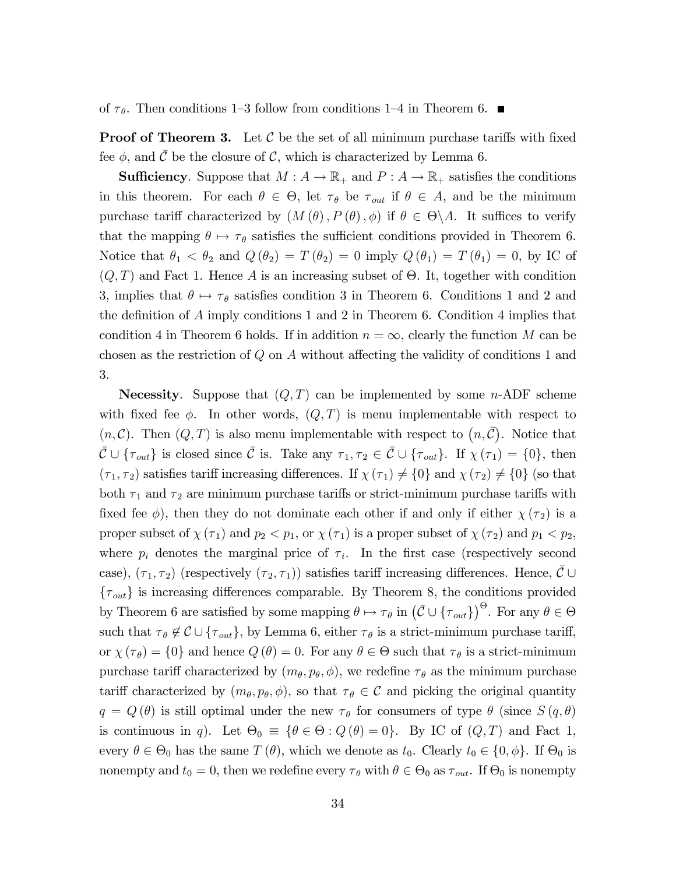of  $\tau_{\theta}$ . Then conditions 1–3 follow from conditions 1–4 in Theorem 6.

**Proof of Theorem 3.** Let  $\mathcal{C}$  be the set of all minimum purchase tariffs with fixed fee  $\phi$ , and C be the closure of C, which is characterized by Lemma 6.

**Sufficiency**. Suppose that  $M : A \to \mathbb{R}_+$  and  $P : A \to \mathbb{R}_+$  satisfies the conditions in this theorem. For each  $\theta \in \Theta$ , let  $\tau_{\theta}$  be  $\tau_{out}$  if  $\theta \in A$ , and be the minimum purchase tariff characterized by  $(M(\theta), P(\theta), \phi)$  if  $\theta \in \Theta \backslash A$ . It suffices to verify that the mapping  $\theta \mapsto \tau_{\theta}$  satisfies the sufficient conditions provided in Theorem 6. Notice that  $\theta_1 < \theta_2$  and  $Q(\theta_2) = T(\theta_2) = 0$  imply  $Q(\theta_1) = T(\theta_1) = 0$ , by IC of  $(Q, T)$  and Fact 1. Hence A is an increasing subset of  $\Theta$ . It, together with condition 3, implies that  $\theta \mapsto \tau_{\theta}$  satisfies condition 3 in Theorem 6. Conditions 1 and 2 and the definition of A imply conditions 1 and 2 in Theorem 6. Condition 4 implies that condition 4 in Theorem 6 holds. If in addition  $n = \infty$ , clearly the function M can be chosen as the restriction of  $Q$  on  $A$  without affecting the validity of conditions 1 and 3.

**Necessity.** Suppose that  $(Q, T)$  can be implemented by some *n*-ADF scheme with fixed fee  $\phi$ . In other words,  $(Q, T)$  is menu implementable with respect to  $(n, \mathcal{C})$ . Then  $(Q, T)$  is also menu implementable with respect to  $(n, \overline{C})$ . Notice that  $\overline{\mathcal{C}} \cup \{\tau_{out}\}\$ is closed since  $\overline{\mathcal{C}}$  is. Take any  $\tau_1, \tau_2 \in \overline{\mathcal{C}} \cup \{\tau_{out}\}\$ . If  $\chi(\tau_1) = \{0\}$ , then  $(\tau_1, \tau_2)$  satisfies tariff increasing differences. If  $\chi(\tau_1) \neq \{0\}$  and  $\chi(\tau_2) \neq \{0\}$  (so that both  $\tau_1$  and  $\tau_2$  are minimum purchase tariffs or strict-minimum purchase tariffs with fixed fee  $\phi$ ), then they do not dominate each other if and only if either  $\chi(\tau_2)$  is a proper subset of  $\chi(\tau_1)$  and  $p_2 < p_1$ , or  $\chi(\tau_1)$  is a proper subset of  $\chi(\tau_2)$  and  $p_1 < p_2$ , where  $p_i$  denotes the marginal price of  $\tau_i$ . In the first case (respectively second case),  $(\tau_1, \tau_2)$  (respectively  $(\tau_2, \tau_1)$ ) satisfies tariff increasing differences. Hence,  $\mathcal{C} \cup$  $\{\tau_{out}\}\$  is increasing differences comparable. By Theorem 8, the conditions provided by Theorem 6 are satisfied by some mapping  $\theta \mapsto \tau_{\theta}$  in  $(\bar{\mathcal{C}} \cup {\{\tau_{out}\}})^{\Theta}$ . For any  $\theta \in \Theta$ such that  $\tau_{\theta} \notin \mathcal{C} \cup {\{\tau_{out}\}}$ , by Lemma 6, either  $\tau_{\theta}$  is a strict-minimum purchase tariff, or  $\chi(\tau_{\theta}) = \{0\}$  and hence  $Q(\theta) = 0$ . For any  $\theta \in \Theta$  such that  $\tau_{\theta}$  is a strict-minimum purchase tariff characterized by  $(m_{\theta}, p_{\theta}, \phi)$ , we redefine  $\tau_{\theta}$  as the minimum purchase tariff characterized by  $(m_{\theta}, p_{\theta}, \phi)$ , so that  $\tau_{\theta} \in \mathcal{C}$  and picking the original quantity  $q = Q(\theta)$  is still optimal under the new  $\tau_{\theta}$  for consumers of type  $\theta$  (since  $S(q, \theta)$ ) is continuous in q). Let  $\Theta_0 \equiv {\theta \in \Theta : Q(\theta) = 0}$ . By IC of  $(Q, T)$  and Fact 1, every  $\theta \in \Theta_0$  has the same  $T(\theta)$ , which we denote as  $t_0$ . Clearly  $t_0 \in \{0, \phi\}$ . If  $\Theta_0$  is nonempty and  $t_0 = 0$ , then we redefine every  $\tau_{\theta}$  with  $\theta \in \Theta_0$  as  $\tau_{out}$ . If  $\Theta_0$  is nonempty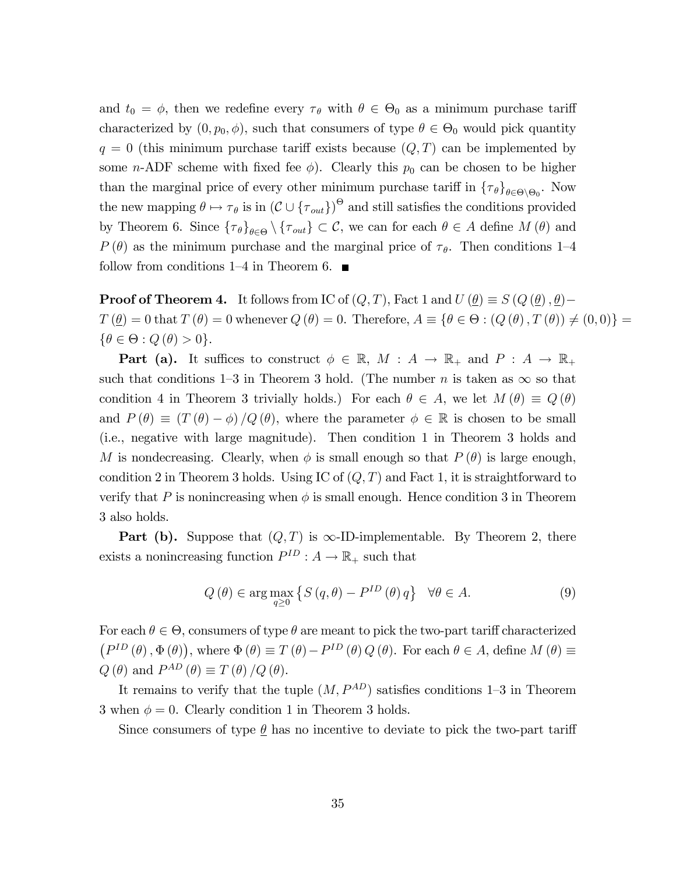and  $t_0 = \phi$ , then we redefine every  $\tau_{\theta}$  with  $\theta \in \Theta_0$  as a minimum purchase tariff characterized by  $(0, p_0, \phi)$ , such that consumers of type  $\theta \in \Theta_0$  would pick quantity  $q = 0$  (this minimum purchase tariff exists because  $(Q, T)$  can be implemented by some *n*-ADF scheme with fixed fee  $\phi$ ). Clearly this  $p_0$  can be chosen to be higher than the marginal price of every other minimum purchase tariff in  $\{\tau_\theta\}_{\theta \in \Theta \setminus \Theta_0}$ . Now the new mapping  $\theta \mapsto \tau_{\theta}$  is in  $(C \cup {\{\tau_{out}\}})^{\Theta}$  and still satisfies the conditions provided by Theorem 6. Since  ${\{\tau_{\theta}\}}_{\theta \in \Theta} \setminus {\{\tau_{out}\}} \subset \mathcal{C}$ , we can for each  $\theta \in A$  define  $M(\theta)$  and  $P(\theta)$  as the minimum purchase and the marginal price of  $\tau_{\theta}$ . Then conditions 1–4 follow from conditions  $1-4$  in Theorem 6.

**Proof of Theorem 4.** It follows from IC of  $(Q, T)$ , Fact 1 and  $U(\underline{\theta}) \equiv S(Q(\underline{\theta}), \underline{\theta})$  $T(\underline{\theta}) = 0$  that  $T(\theta) = 0$  whenever  $Q(\theta) = 0$ . Therefore,  $A \equiv {\theta \in \Theta : (Q(\theta), T(\theta)) \neq (0, 0)}$  =  $\{\theta \in \Theta : Q(\theta) > 0\}.$ 

**Part (a).** It suffices to construct  $\phi \in \mathbb{R}$ ,  $M : A \to \mathbb{R}_+$  and  $P : A \to \mathbb{R}_+$ such that conditions 1–3 in Theorem 3 hold. (The number n is taken as  $\infty$  so that condition 4 in Theorem 3 trivially holds.) For each  $\theta \in A$ , we let  $M(\theta) \equiv Q(\theta)$ and  $P(\theta) \equiv (T(\theta) - \phi) / Q(\theta)$ , where the parameter  $\phi \in \mathbb{R}$  is chosen to be small (i.e., negative with large magnitude). Then condition 1 in Theorem 3 holds and M is nondecreasing. Clearly, when  $\phi$  is small enough so that  $P(\theta)$  is large enough, condition 2 in Theorem 3 holds. Using IC of  $(Q, T)$  and Fact 1, it is straightforward to verify that P is nonincreasing when  $\phi$  is small enough. Hence condition 3 in Theorem 3 also holds.

**Part (b).** Suppose that  $(Q, T)$  is  $\infty$ -ID-implementable. By Theorem 2, there exists a nonincreasing function  $P^{ID}: A \to \mathbb{R}_+$  such that

$$
Q(\theta) \in \arg \max_{q \ge 0} \left\{ S(q, \theta) - P^{ID}(\theta) q \right\} \quad \forall \theta \in A.
$$
 (9)

For each  $\theta \in \Theta$ , consumers of type  $\theta$  are meant to pick the two-part tariff characterized  $(P^{ID}(\theta), \Phi(\theta)),$  where  $\Phi(\theta) \equiv T(\theta) - P^{ID}(\theta) Q(\theta)$ . For each  $\theta \in A$ , define  $M(\theta) \equiv$  $Q(\theta)$  and  $P^{AD}(\theta) \equiv T(\theta)/Q(\theta)$ .

It remains to verify that the tuple  $(M, P^{AD})$  satisfies conditions 1–3 in Theorem 3 when  $\phi = 0$ . Clearly condition 1 in Theorem 3 holds.

Since consumers of type  $\theta$  has no incentive to deviate to pick the two-part tariff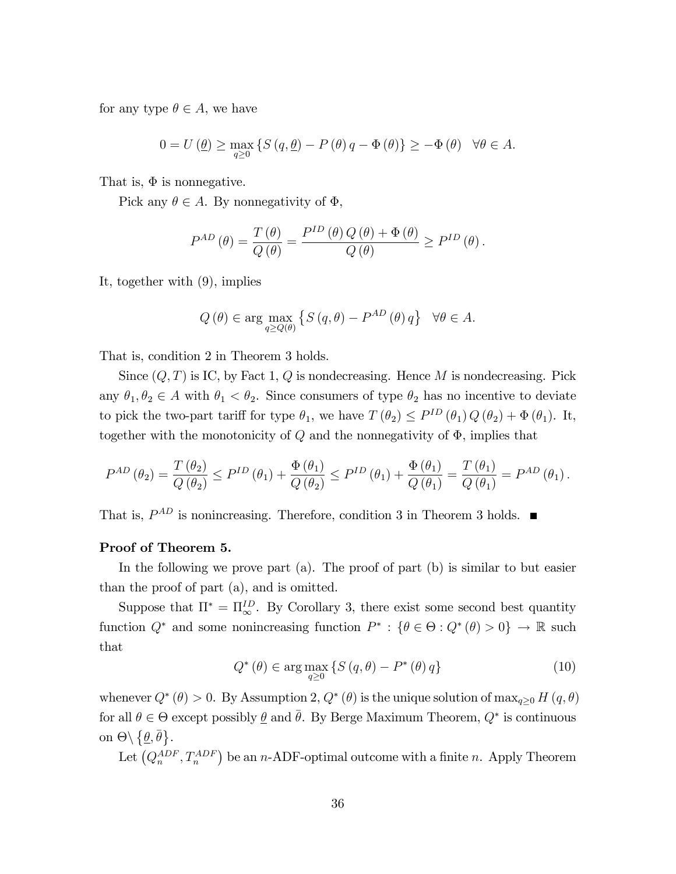for any type  $\theta \in A$ , we have

$$
0 = U(\underline{\theta}) \ge \max_{q \ge 0} \left\{ S(q, \underline{\theta}) - P(\theta) q - \Phi(\theta) \right\} \ge -\Phi(\theta) \quad \forall \theta \in A.
$$

That is,  $\Phi$  is nonnegative.

Pick any  $\theta \in A$ . By nonnegativity of  $\Phi$ ,

$$
P^{AD}(\theta) = \frac{T(\theta)}{Q(\theta)} = \frac{P^{ID}(\theta) Q(\theta) + \Phi(\theta)}{Q(\theta)} \ge P^{ID}(\theta).
$$

It, together with (9), implies

$$
Q(\theta) \in \arg \max_{q \ge Q(\theta)} \left\{ S(q, \theta) - P^{AD}(\theta) q \right\} \quad \forall \theta \in A.
$$

That is, condition 2 in Theorem 3 holds.

Since  $(Q, T)$  is IC, by Fact 1, Q is nondecreasing. Hence M is nondecreasing. Pick any  $\theta_1, \theta_2 \in A$  with  $\theta_1 < \theta_2$ . Since consumers of type  $\theta_2$  has no incentive to deviate to pick the two-part tariff for type  $\theta_1$ , we have  $T(\theta_2) \le P^{ID}(\theta_1) Q(\theta_2) + \Phi(\theta_1)$ . It, together with the monotonicity of  $Q$  and the nonnegativity of  $\Phi$ , implies that

$$
P^{AD}(\theta_2) = \frac{T(\theta_2)}{Q(\theta_2)} \le P^{ID}(\theta_1) + \frac{\Phi(\theta_1)}{Q(\theta_2)} \le P^{ID}(\theta_1) + \frac{\Phi(\theta_1)}{Q(\theta_1)} = \frac{T(\theta_1)}{Q(\theta_1)} = P^{AD}(\theta_1).
$$

That is,  $P^{AD}$  is nonincreasing. Therefore, condition 3 in Theorem 3 holds.

#### Proof of Theorem 5.

In the following we prove part (a). The proof of part (b) is similar to but easier than the proof of part (a), and is omitted.

Suppose that  $\Pi^* = \Pi_{\infty}^{ID}$ . By Corollary 3, there exist some second best quantity function  $Q^*$  and some nonincreasing function  $P^*$ :  $\{\theta \in \Theta : Q^*(\theta) > 0\} \to \mathbb{R}$  such that

$$
Q^*(\theta) \in \arg\max_{q \ge 0} \left\{ S\left(q, \theta\right) - P^*\left(\theta\right) q \right\} \tag{10}
$$

whenever  $Q^*(\theta) > 0$ . By Assumption 2,  $Q^*(\theta)$  is the unique solution of  $\max_{q \geq 0} H(q, \theta)$ for all  $\theta \in \Theta$  except possibly  $\underline{\theta}$  and  $\overline{\theta}$ . By Berge Maximum Theorem,  $Q^*$  is continuous on  $\Theta \backslash \{\underline{\theta}, \overline{\theta}\}.$ 

Let  $(Q_n^{ADF}, T_n^{ADF})$  be an n-ADF-optimal outcome with a finite n. Apply Theorem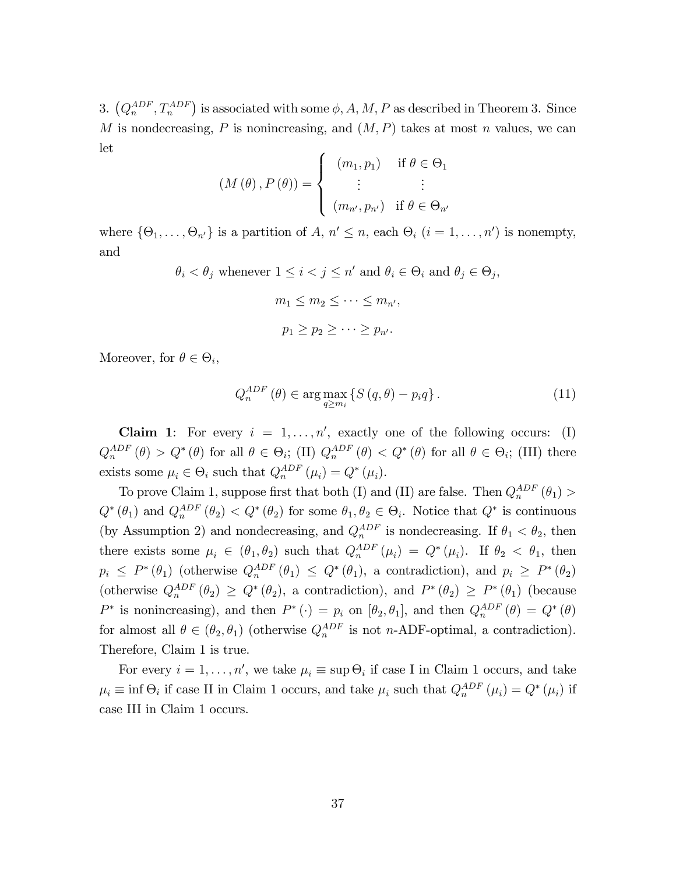3.  $(Q_n^{ADF}, T_n^{ADF})$  is associated with some  $\phi$ , A, M, P as described in Theorem 3. Since M is nondecreasing, P is nonincreasing, and  $(M, P)$  takes at most n values, we can let

$$
(M(\theta), P(\theta)) = \begin{cases} (m_1, p_1) & \text{if } \theta \in \Theta_1 \\ \vdots & \vdots \\ (m_{n'}, p_{n'}) & \text{if } \theta \in \Theta_{n'} \end{cases}
$$

where  $\{\Theta_1, \ldots, \Theta_{n'}\}$  is a partition of A,  $n' \leq n$ , each  $\Theta_i$   $(i = 1, \ldots, n')$  is nonempty, and

> $\theta_i < \theta_j$  whenever  $1 \leq i < j \leq n'$  and  $\theta_i \in \Theta_i$  and  $\theta_j \in \Theta_j$ ,  $m_1 < m_2 < \cdots < m_{n'}$  $p_1 > p_2 > \cdots > p_{n'}$ .

Moreover, for  $\theta \in \Theta_i$ ,

$$
Q_n^{ADE}(\theta) \in \arg\max_{q \ge m_i} \left\{ S(q, \theta) - p_i q \right\}.
$$
 (11)

**Claim 1**: For every  $i = 1, ..., n'$ , exactly one of the following occurs: (I)  $Q_n^{ADE}(\theta) > Q^*(\theta)$  for all  $\theta \in \Theta_i$ ; (II)  $Q_n^{ADE}(\theta) < Q^*(\theta)$  for all  $\theta \in \Theta_i$ ; (III) there exists some  $\mu_i \in \Theta_i$  such that  $Q_n^{ADF}(\mu_i) = Q^*(\mu_i)$ .

To prove Claim 1, suppose first that both (I) and (II) are false. Then  $Q_n^{ADF}(\theta_1)$  >  $Q^*(\theta_1)$  and  $Q_n^{ADE}(\theta_2) < Q^*(\theta_2)$  for some  $\theta_1, \theta_2 \in \Theta_i$ . Notice that  $Q^*$  is continuous (by Assumption 2) and nondecreasing, and  $Q_n^{ADF}$  is nondecreasing. If  $\theta_1 < \theta_2$ , then there exists some  $\mu_i \in (\theta_1, \theta_2)$  such that  $Q_n^{ADF}(\mu_i) = Q^*(\mu_i)$ . If  $\theta_2 < \theta_1$ , then  $p_i \leq P^*(\theta_1)$  (otherwise  $Q_n^{ADF}(\theta_1) \leq Q^*(\theta_1)$ , a contradiction), and  $p_i \geq P^*(\theta_2)$ (otherwise  $Q_n^{ADF}(\theta_2) \ge Q^*(\theta_2)$ , a contradiction), and  $P^*(\theta_2) \ge P^*(\theta_1)$  (because  $P^*$  is nonincreasing), and then  $P^*(\cdot) = p_i$  on  $[\theta_2, \theta_1]$ , and then  $Q_n^{ADE}(\theta) = Q^*(\theta)$ for almost all  $\theta \in (\theta_2, \theta_1)$  (otherwise  $Q_n^{ADF}$  is not *n*-ADF-optimal, a contradiction). Therefore, Claim 1 is true.

For every  $i = 1, ..., n'$ , we take  $\mu_i \equiv \sup \Theta_i$  if case I in Claim 1 occurs, and take  $\mu_i \equiv \inf \Theta_i$  if case II in Claim 1 occurs, and take  $\mu_i$  such that  $Q_n^{ADF}(\mu_i) = Q^*(\mu_i)$  if case III in Claim 1 occurs.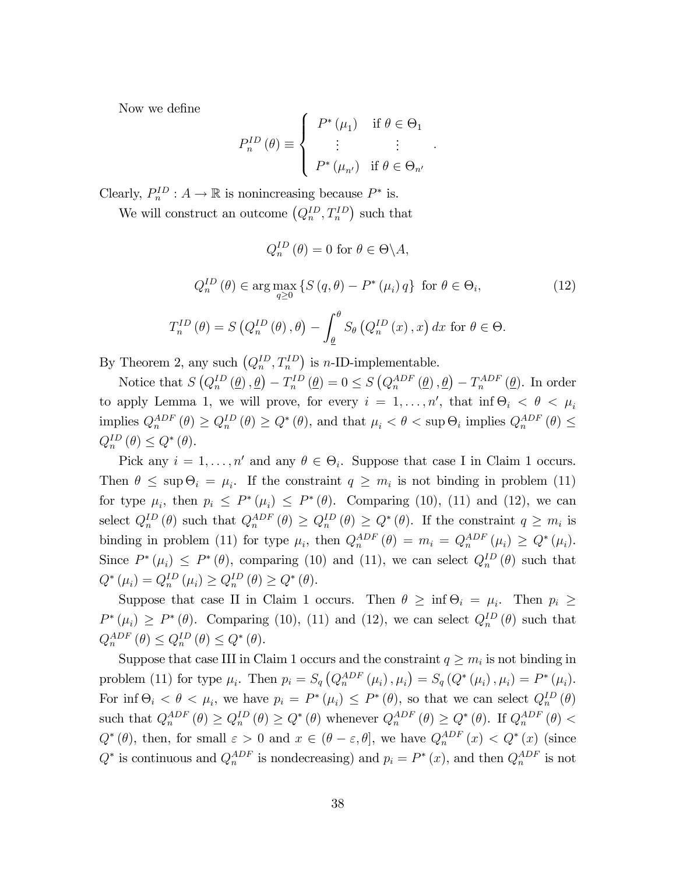Now we define

$$
P_n^{ID}(\theta) \equiv \begin{cases} P^*(\mu_1) & \text{if } \theta \in \Theta_1 \\ \vdots & \vdots \\ P^*(\mu_{n'}) & \text{if } \theta \in \Theta_{n'} \end{cases}
$$

Clearly,  $P_n^{ID}: A \to \mathbb{R}$  is nonincreasing because  $P^*$  is.

We will construct an outcome  $(Q_n^{ID}, T_n^{ID})$  such that

$$
Q_n^{ID}(\theta) = 0 \text{ for } \theta \in \Theta \backslash A,
$$

$$
Q_n^{ID}(\theta) \in \arg \max_{q \ge 0} \left\{ S\left(q, \theta\right) - P^*\left(\mu_i\right) q \right\} \text{ for } \theta \in \Theta_i,
$$
\n(12)

:

$$
T_n^{ID}(\theta) = S\left(Q_n^{ID}(\theta), \theta\right) - \int_{\underline{\theta}}^{\theta} S_{\theta}\left(Q_n^{ID}(x), x\right) dx \text{ for } \theta \in \Theta.
$$

By Theorem 2, any such  $(Q_n^{ID}, T_n^{ID})$  is *n*-ID-implementable.

Notice that  $S(Q_n^{ID}(\underline{\theta}), \underline{\theta}) - T_n^{ID}(\underline{\theta}) = 0 \le S(Q_n^{ADF}(\underline{\theta}), \underline{\theta}) - T_n^{ADF}(\underline{\theta})$ . In order to apply Lemma 1, we will prove, for every  $i = 1, \ldots, n'$ , that  $\inf \Theta_i < \theta < \mu_i$ implies  $Q_n^{ADF}(\theta) \ge Q_n^{ID}(\theta) \ge Q^*(\theta)$ , and that  $\mu_i < \theta < \sup \Theta_i$  implies  $Q_n^{ADF}(\theta) \le$  $Q_n^{ID}(\theta) \leq Q^*(\theta).$ 

Pick any  $i = 1, ..., n'$  and any  $\theta \in \Theta_i$ . Suppose that case I in Claim 1 occurs. Then  $\theta \le \sup \Theta_i = \mu_i$ . If the constraint  $q \ge m_i$  is not binding in problem (11) for type  $\mu_i$ , then  $p_i \leq P^*(\mu_i) \leq P^*(\theta)$ . Comparing (10), (11) and (12), we can select  $Q_n^{ID}(\theta)$  such that  $Q_n^{ADF}(\theta) \ge Q_n^{ID}(\theta) \ge Q^*(\theta)$ . If the constraint  $q \ge m_i$  is binding in problem (11) for type  $\mu_i$ , then  $Q_n^{ADF}(\theta) = m_i = Q_n^{ADF}(\mu_i) \ge Q^*(\mu_i)$ . Since  $P^*(\mu_i) \le P^*(\theta)$ , comparing (10) and (11), we can select  $Q_n^{ID}(\theta)$  such that  $Q^*(\mu_i) = Q_n^{ID}(\mu_i) \ge Q_n^{ID}(\theta) \ge Q^*(\theta).$ 

Suppose that case II in Claim 1 occurs. Then  $\theta \geq \inf \Theta_i = \mu_i$ . Then  $p_i \geq$  $P^*(\mu_i) \ge P^*(\theta)$ . Comparing (10), (11) and (12), we can select  $Q_n^{ID}(\theta)$  such that  $Q_n^{ADE}(\theta) \le Q_n^{ID}(\theta) \le Q^*(\theta).$ 

Suppose that case III in Claim 1 occurs and the constraint  $q \geq m_i$  is not binding in problem (11) for type  $\mu_i$ . Then  $p_i = S_q(Q_n^{ADE}(\mu_i), \mu_i) = S_q(Q^*(\mu_i), \mu_i) = P^*(\mu_i)$ . For inf  $\Theta_i < \theta < \mu_i$ , we have  $p_i = P^*(\mu_i) \le P^*(\theta)$ , so that we can select  $Q_n^{ID}(\theta)$ such that  $Q_n^{ADE}(\theta) \ge Q_n^{ID}(\theta) \ge Q^*(\theta)$  whenever  $Q_n^{ADE}(\theta) \ge Q^*(\theta)$ . If  $Q_n^{ADE}(\theta) <$  $Q^*(\theta)$ , then, for small  $\varepsilon > 0$  and  $x \in (\theta - \varepsilon, \theta]$ , we have  $Q_n^{ADE}(x) < Q^*(x)$  (since  $Q^*$  is continuous and  $Q_n^{ADF}$  is nondecreasing) and  $p_i = P^*(x)$ , and then  $Q_n^{ADF}$  is not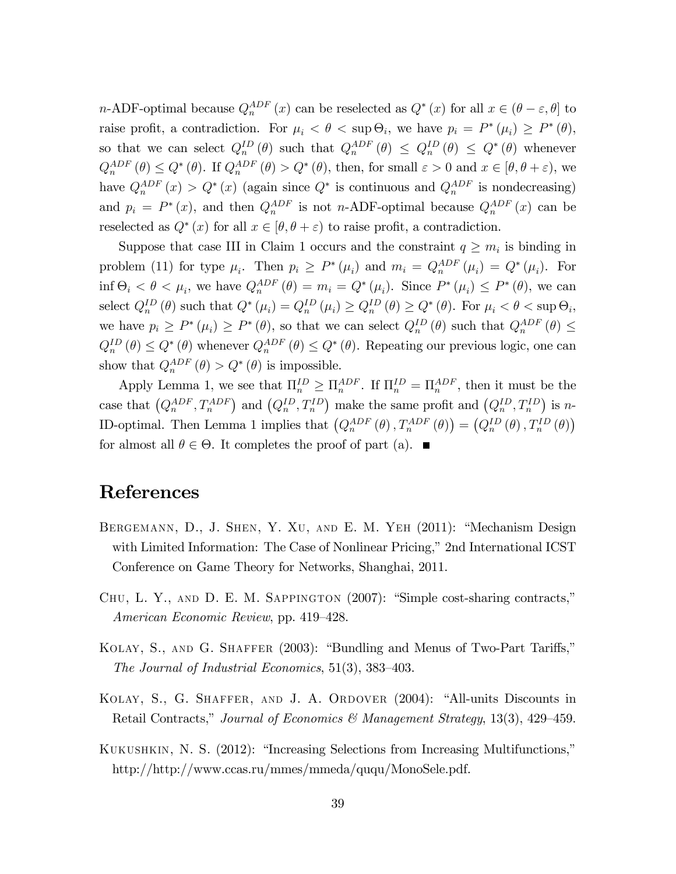*n*-ADF-optimal because  $Q_n^{ADE}(x)$  can be reselected as  $Q^*(x)$  for all  $x \in (\theta - \varepsilon, \theta]$  to raise profit, a contradiction. For  $\mu_i < \theta < \sup \Theta_i$ , we have  $p_i = P^*(\mu_i) \ge P^*(\theta)$ , so that we can select  $Q_n^{ID}(\theta)$  such that  $Q_n^{ADF}(\theta) \leq Q_n^{ID}(\theta) \leq Q^*(\theta)$  whenever  $Q_n^{ADE}(\theta) \le Q^*(\theta)$ . If  $Q_n^{ADE}(\theta) > Q^*(\theta)$ , then, for small  $\varepsilon > 0$  and  $x \in [\theta, \theta + \varepsilon)$ , we have  $Q_n^{ADF}(x) > Q^*(x)$  (again since  $Q^*$  is continuous and  $Q_n^{ADF}$  is nondecreasing) and  $p_i = P^*(x)$ , and then  $Q_n^{ADF}$  is not *n*-ADF-optimal because  $Q_n^{ADF}(x)$  can be reselected as  $Q^*(x)$  for all  $x \in [\theta, \theta + \varepsilon)$  to raise profit, a contradiction.

Suppose that case III in Claim 1 occurs and the constraint  $q \geq m_i$  is binding in problem (11) for type  $\mu_i$ . Then  $p_i \ge P^*(\mu_i)$  and  $m_i = Q_n^{ADE}(\mu_i) = Q^*(\mu_i)$ . For  $\inf \Theta_i < \theta < \mu_i$ , we have  $Q_n^{ADF}(\theta) = m_i = Q^*(\mu_i)$ . Since  $P^*(\mu_i) \leq P^*(\theta)$ , we can select  $Q_n^{ID}(\theta)$  such that  $Q^*(\mu_i) = Q_n^{ID}(\mu_i) \ge Q_n^{ID}(\theta) \ge Q^*(\theta)$ . For  $\mu_i < \theta < \sup \Theta_i$ , we have  $p_i \ge P^*(\mu_i) \ge P^*(\theta)$ , so that we can select  $Q_n^{ID}(\theta)$  such that  $Q_n^{ADF}(\theta) \le$  $Q_n^{ID}(\theta) \le Q^*(\theta)$  whenever  $Q_n^{ADF}(\theta) \le Q^*(\theta)$ . Repeating our previous logic, one can show that  $Q_n^{ADF}(\theta) > Q^*(\theta)$  is impossible.

Apply Lemma 1, we see that  $\Pi_n^{ID} \geq \Pi_n^{ADF}$ . If  $\Pi_n^{ID} = \Pi_n^{ADF}$ , then it must be the case that  $(Q_n^{ADE}, T_n^{ADE})$  and  $(Q_n^{ID}, T_n^{ID})$  make the same profit and  $(Q_n^{ID}, T_n^{ID})$  is n-ID-optimal. Then Lemma 1 implies that  $(Q_n^{ADE}(\theta), T_n^{ADE}(\theta)) = (Q_n^{ID}(\theta), T_n^{ID}(\theta))$ for almost all  $\theta \in \Theta$ . It completes the proof of part (a).

### References

- BERGEMANN, D., J. SHEN, Y. XU, AND E. M. YEH (2011): "Mechanism Design with Limited Information: The Case of Nonlinear Pricing," 2nd International ICST Conference on Game Theory for Networks, Shanghai, 2011.
- CHU, L. Y., AND D. E. M. SAPPINGTON  $(2007)$ : "Simple cost-sharing contracts," American Economic Review, pp. 419–428.
- KOLAY, S., AND G. SHAFFER (2003): "Bundling and Menus of Two-Part Tariffs," The Journal of Industrial Economics,  $51(3)$ ,  $383-403$ .
- KOLAY, S., G. SHAFFER, AND J. A. ORDOVER (2004): "All-units Discounts in Retail Contracts," Journal of Economics & Management Strategy, 13(3), 429–459.
- KUKUSHKIN, N. S. (2012): "Increasing Selections from Increasing Multifunctions," http://http://www.ccas.ru/mmes/mmeda/ququ/MonoSele.pdf.